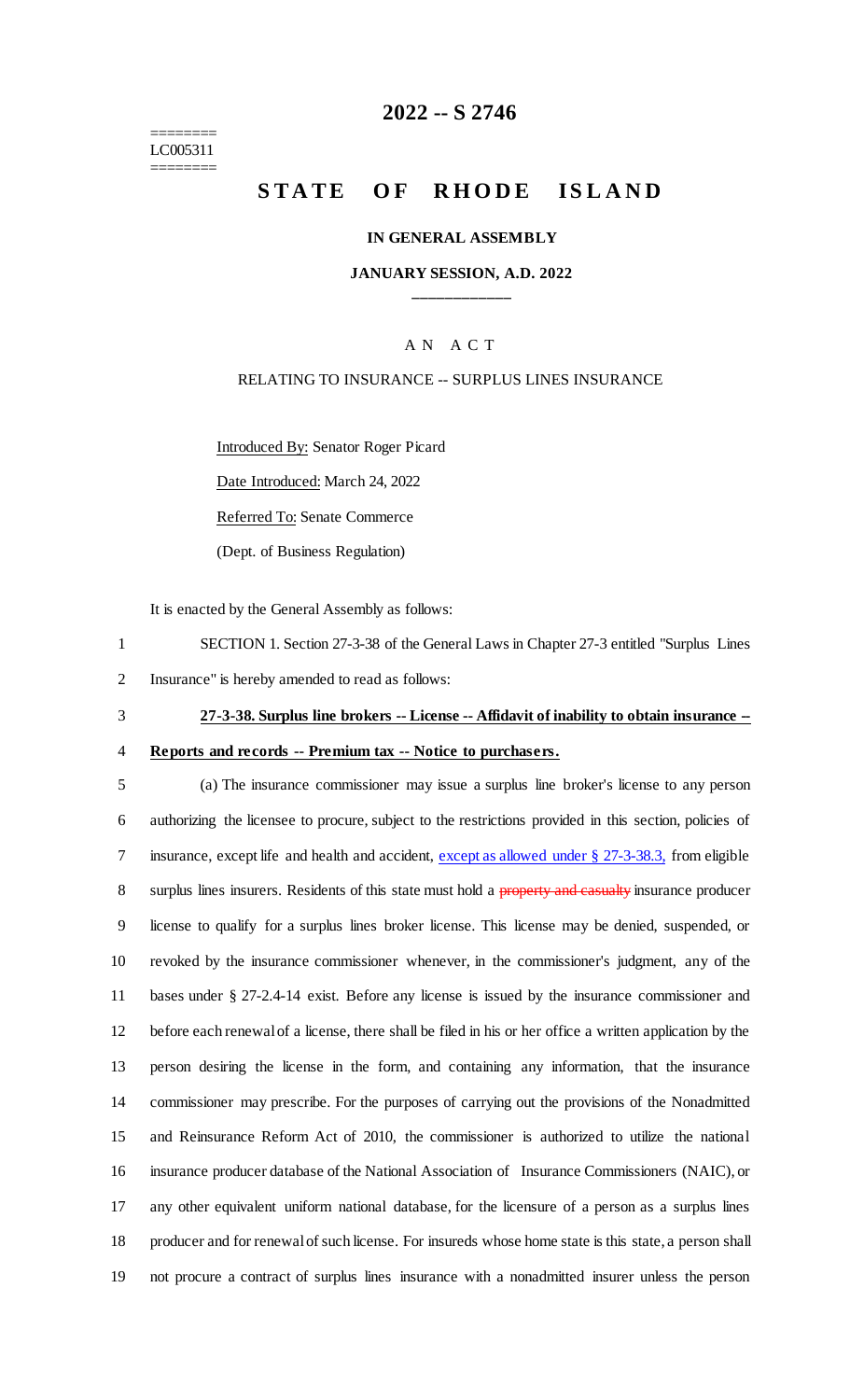======== LC005311 ========

# **2022 -- S 2746**

# **STATE OF RHODE ISLAND**

### **IN GENERAL ASSEMBLY**

### **JANUARY SESSION, A.D. 2022 \_\_\_\_\_\_\_\_\_\_\_\_**

### A N A C T

### RELATING TO INSURANCE -- SURPLUS LINES INSURANCE

Introduced By: Senator Roger Picard

Date Introduced: March 24, 2022

Referred To: Senate Commerce

(Dept. of Business Regulation)

It is enacted by the General Assembly as follows:

1 SECTION 1. Section 27-3-38 of the General Laws in Chapter 27-3 entitled "Surplus Lines 2 Insurance" is hereby amended to read as follows:

- 3 **27-3-38. Surplus line brokers -- License -- Affidavit of inability to obtain insurance --**
- 

# 4 **Reports and records -- Premium tax -- Notice to purchasers.**

 (a) The insurance commissioner may issue a surplus line broker's license to any person authorizing the licensee to procure, subject to the restrictions provided in this section, policies of 7 insurance, except life and health and accident, except as allowed under § 27-3-38.3, from eligible 8 surplus lines insurers. Residents of this state must hold a property and casualty insurance producer license to qualify for a surplus lines broker license. This license may be denied, suspended, or revoked by the insurance commissioner whenever, in the commissioner's judgment, any of the bases under § 27-2.4-14 exist. Before any license is issued by the insurance commissioner and before each renewal of a license, there shall be filed in his or her office a written application by the person desiring the license in the form, and containing any information, that the insurance commissioner may prescribe. For the purposes of carrying out the provisions of the Nonadmitted and Reinsurance Reform Act of 2010, the commissioner is authorized to utilize the national insurance producer database of the National Association of Insurance Commissioners (NAIC), or any other equivalent uniform national database, for the licensure of a person as a surplus lines producer and for renewal of such license. For insureds whose home state is this state, a person shall not procure a contract of surplus lines insurance with a nonadmitted insurer unless the person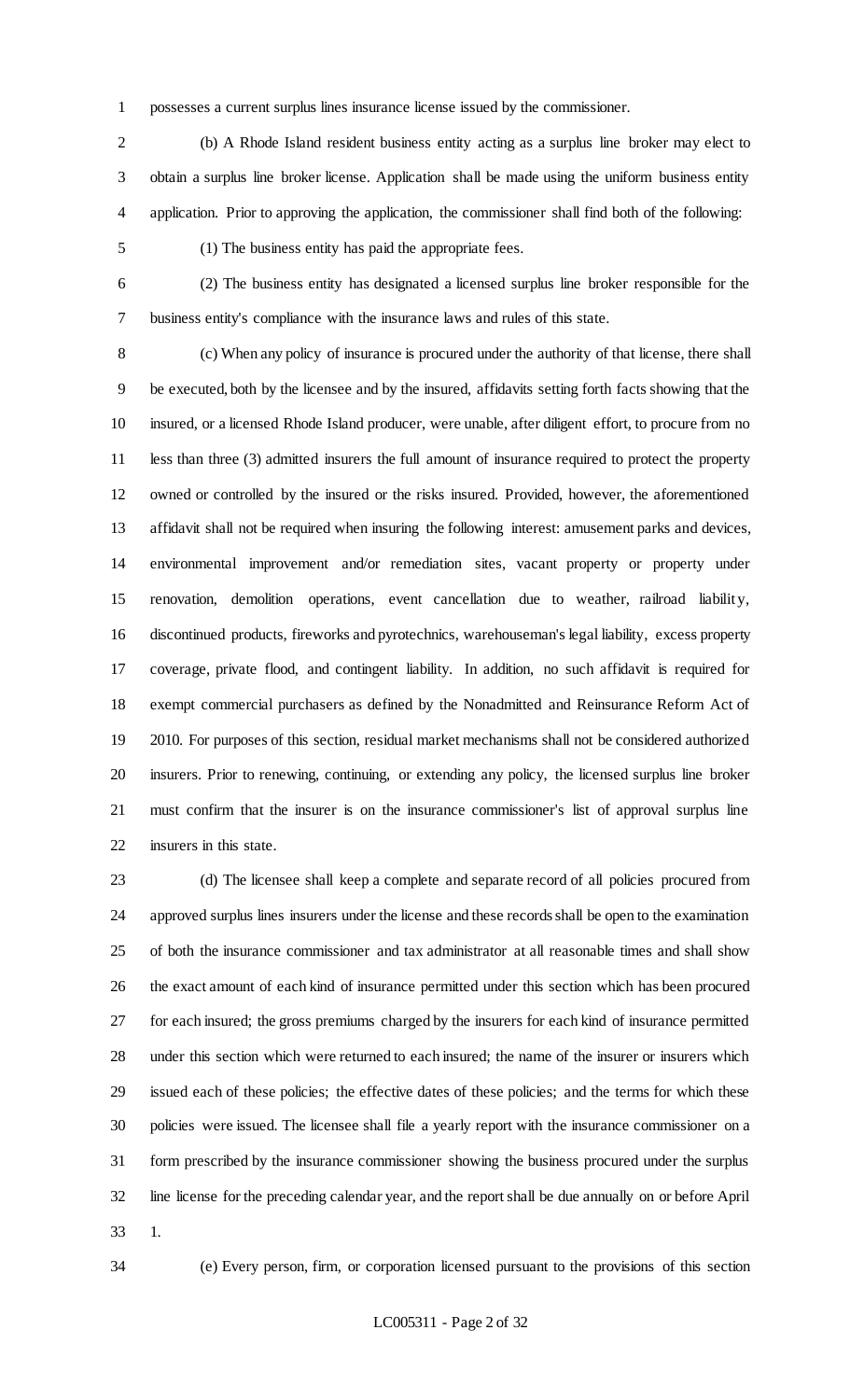possesses a current surplus lines insurance license issued by the commissioner.

 (b) A Rhode Island resident business entity acting as a surplus line broker may elect to obtain a surplus line broker license. Application shall be made using the uniform business entity application. Prior to approving the application, the commissioner shall find both of the following:

(1) The business entity has paid the appropriate fees.

 (2) The business entity has designated a licensed surplus line broker responsible for the business entity's compliance with the insurance laws and rules of this state.

 (c) When any policy of insurance is procured under the authority of that license, there shall be executed, both by the licensee and by the insured, affidavits setting forth facts showing that the insured, or a licensed Rhode Island producer, were unable, after diligent effort, to procure from no less than three (3) admitted insurers the full amount of insurance required to protect the property owned or controlled by the insured or the risks insured. Provided, however, the aforementioned affidavit shall not be required when insuring the following interest: amusement parks and devices, environmental improvement and/or remediation sites, vacant property or property under renovation, demolition operations, event cancellation due to weather, railroad liability, discontinued products, fireworks and pyrotechnics, warehouseman's legal liability, excess property coverage, private flood, and contingent liability. In addition, no such affidavit is required for exempt commercial purchasers as defined by the Nonadmitted and Reinsurance Reform Act of 2010. For purposes of this section, residual market mechanisms shall not be considered authorized insurers. Prior to renewing, continuing, or extending any policy, the licensed surplus line broker must confirm that the insurer is on the insurance commissioner's list of approval surplus line insurers in this state.

 (d) The licensee shall keep a complete and separate record of all policies procured from approved surplus lines insurers under the license and these records shall be open to the examination of both the insurance commissioner and tax administrator at all reasonable times and shall show the exact amount of each kind of insurance permitted under this section which has been procured for each insured; the gross premiums charged by the insurers for each kind of insurance permitted under this section which were returned to each insured; the name of the insurer or insurers which issued each of these policies; the effective dates of these policies; and the terms for which these policies were issued. The licensee shall file a yearly report with the insurance commissioner on a form prescribed by the insurance commissioner showing the business procured under the surplus line license for the preceding calendar year, and the report shall be due annually on or before April 1.

(e) Every person, firm, or corporation licensed pursuant to the provisions of this section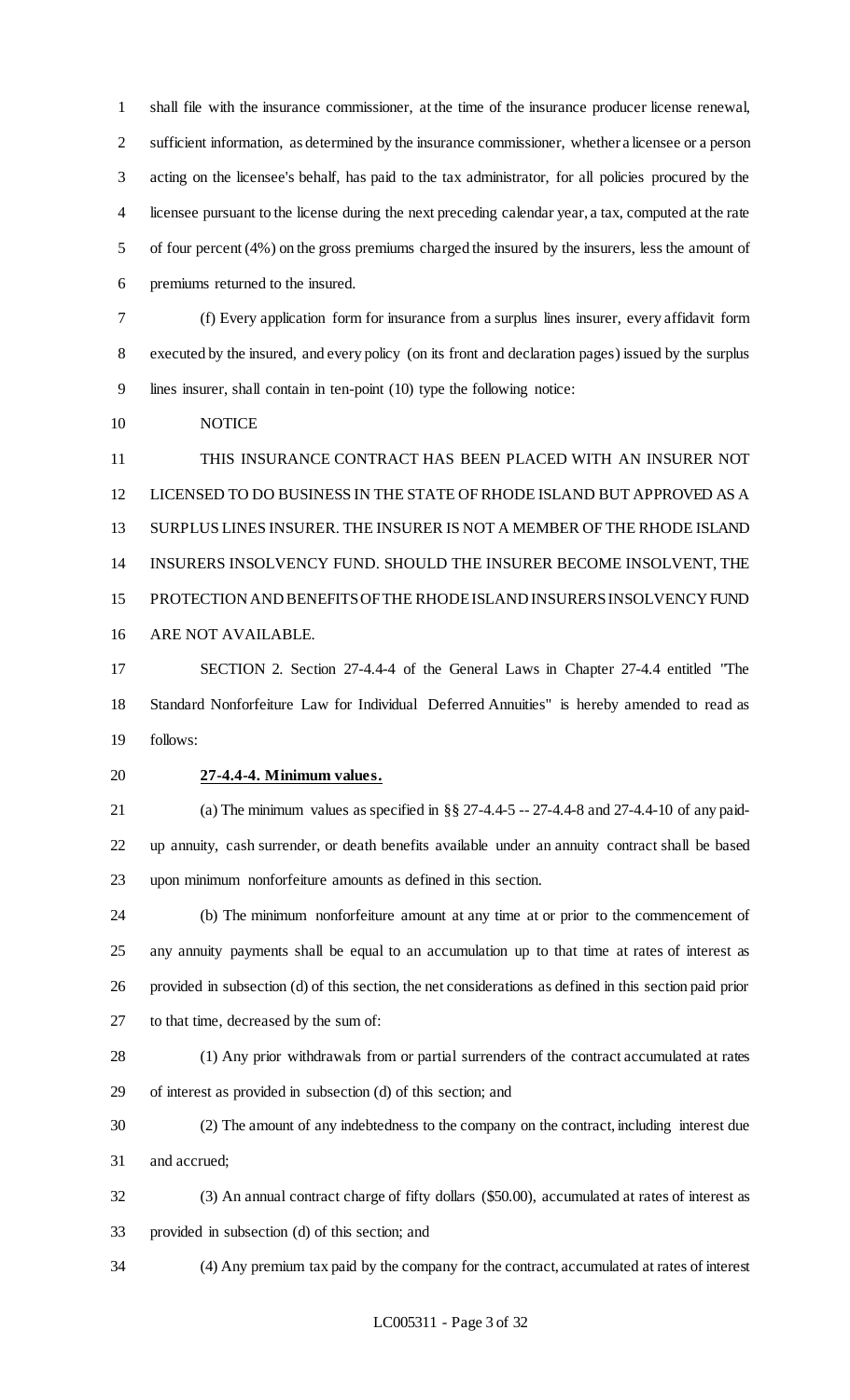shall file with the insurance commissioner, at the time of the insurance producer license renewal, sufficient information, as determined by the insurance commissioner, whether a licensee or a person acting on the licensee's behalf, has paid to the tax administrator, for all policies procured by the licensee pursuant to the license during the next preceding calendar year, a tax, computed at the rate of four percent (4%) on the gross premiums charged the insured by the insurers, less the amount of premiums returned to the insured.

 (f) Every application form for insurance from a surplus lines insurer, every affidavit form executed by the insured, and every policy (on its front and declaration pages) issued by the surplus lines insurer, shall contain in ten-point (10) type the following notice:

NOTICE

 THIS INSURANCE CONTRACT HAS BEEN PLACED WITH AN INSURER NOT LICENSED TO DO BUSINESS IN THE STATE OF RHODE ISLAND BUT APPROVED AS A SURPLUS LINES INSURER. THE INSURER IS NOT A MEMBER OF THE RHODE ISLAND INSURERS INSOLVENCY FUND. SHOULD THE INSURER BECOME INSOLVENT, THE PROTECTION AND BENEFITS OF THE RHODE ISLAND INSURERS INSOLVENCY FUND ARE NOT AVAILABLE.

 SECTION 2. Section 27-4.4-4 of the General Laws in Chapter 27-4.4 entitled "The Standard Nonforfeiture Law for Individual Deferred Annuities" is hereby amended to read as follows:

#### **27-4.4-4. Minimum values.**

 (a) The minimum values as specified in §§ 27-4.4-5 -- 27-4.4-8 and 27-4.4-10 of any paid- up annuity, cash surrender, or death benefits available under an annuity contract shall be based upon minimum nonforfeiture amounts as defined in this section.

 (b) The minimum nonforfeiture amount at any time at or prior to the commencement of any annuity payments shall be equal to an accumulation up to that time at rates of interest as provided in subsection (d) of this section, the net considerations as defined in this section paid prior to that time, decreased by the sum of:

 (1) Any prior withdrawals from or partial surrenders of the contract accumulated at rates of interest as provided in subsection (d) of this section; and

 (2) The amount of any indebtedness to the company on the contract, including interest due and accrued;

 (3) An annual contract charge of fifty dollars (\$50.00), accumulated at rates of interest as provided in subsection (d) of this section; and

(4) Any premium tax paid by the company for the contract, accumulated at rates of interest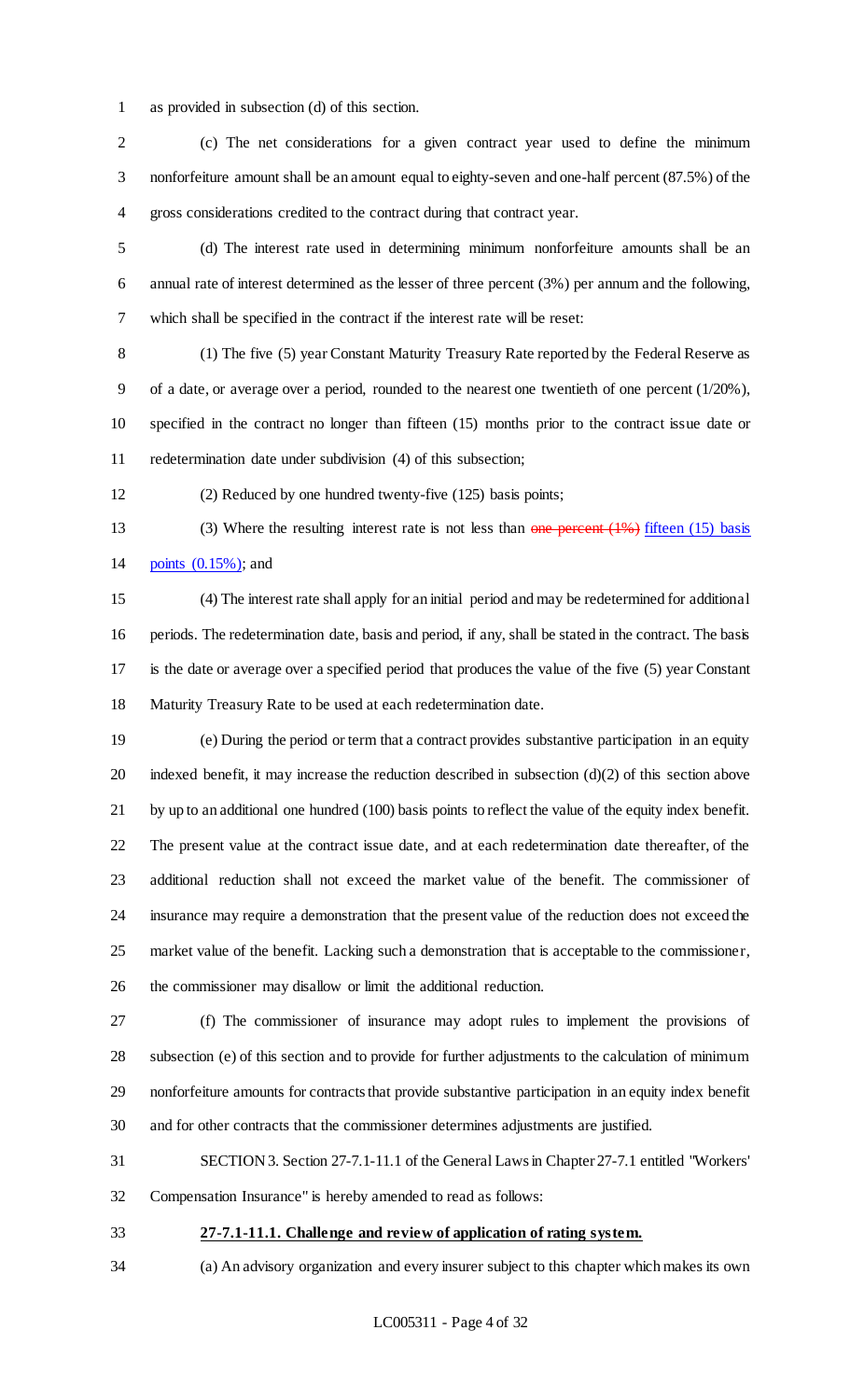as provided in subsection (d) of this section.

 (c) The net considerations for a given contract year used to define the minimum nonforfeiture amount shall be an amount equal to eighty-seven and one-half percent (87.5%) of the gross considerations credited to the contract during that contract year.

 (d) The interest rate used in determining minimum nonforfeiture amounts shall be an annual rate of interest determined as the lesser of three percent (3%) per annum and the following, which shall be specified in the contract if the interest rate will be reset:

 (1) The five (5) year Constant Maturity Treasury Rate reported by the Federal Reserve as 9 of a date, or average over a period, rounded to the nearest one twentieth of one percent  $(1/20\%)$ , specified in the contract no longer than fifteen (15) months prior to the contract issue date or redetermination date under subdivision (4) of this subsection;

(2) Reduced by one hundred twenty-five (125) basis points;

13 (3) Where the resulting interest rate is not less than one percent (1%) fifteen (15) basis points (0.15%); and

 (4) The interest rate shall apply for an initial period and may be redetermined for additional periods. The redetermination date, basis and period, if any, shall be stated in the contract. The basis is the date or average over a specified period that produces the value of the five (5) year Constant Maturity Treasury Rate to be used at each redetermination date.

 (e) During the period or term that a contract provides substantive participation in an equity 20 indexed benefit, it may increase the reduction described in subsection  $(d)(2)$  of this section above by up to an additional one hundred (100) basis points to reflect the value of the equity index benefit. The present value at the contract issue date, and at each redetermination date thereafter, of the additional reduction shall not exceed the market value of the benefit. The commissioner of insurance may require a demonstration that the present value of the reduction does not exceed the market value of the benefit. Lacking such a demonstration that is acceptable to the commissioner, the commissioner may disallow or limit the additional reduction.

 (f) The commissioner of insurance may adopt rules to implement the provisions of subsection (e) of this section and to provide for further adjustments to the calculation of minimum nonforfeiture amounts for contracts that provide substantive participation in an equity index benefit and for other contracts that the commissioner determines adjustments are justified.

 SECTION 3. Section 27-7.1-11.1 of the General Laws in Chapter 27-7.1 entitled "Workers' Compensation Insurance" is hereby amended to read as follows:

#### **27-7.1-11.1. Challenge and review of application of rating system.**

(a) An advisory organization and every insurer subject to this chapter which makes its own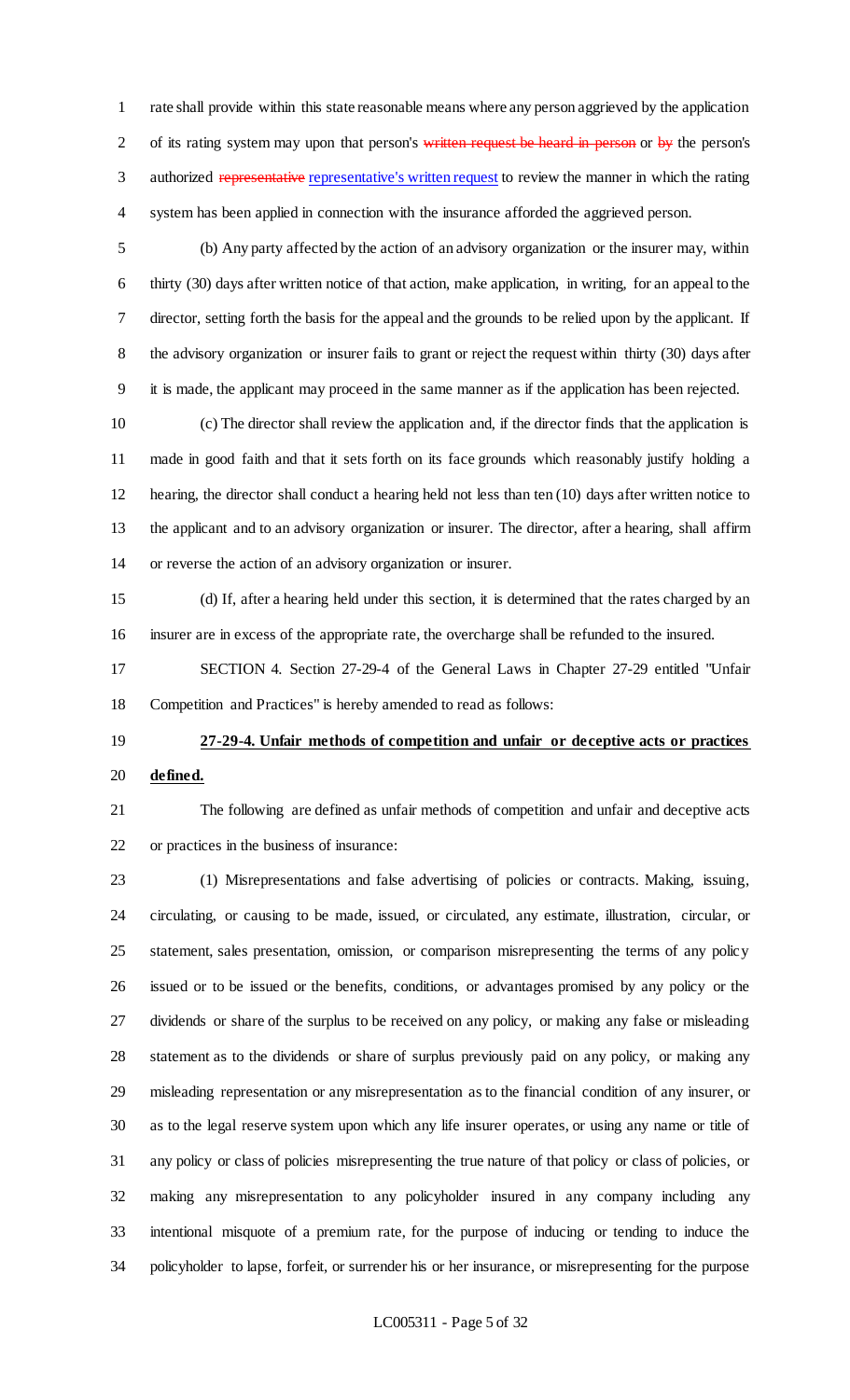rate shall provide within this state reasonable means where any person aggrieved by the application 2 of its rating system may upon that person's written request be heard in person or by the person's 3 authorized representative representative's written request to review the manner in which the rating system has been applied in connection with the insurance afforded the aggrieved person.

 (b) Any party affected by the action of an advisory organization or the insurer may, within thirty (30) days after written notice of that action, make application, in writing, for an appeal to the director, setting forth the basis for the appeal and the grounds to be relied upon by the applicant. If the advisory organization or insurer fails to grant or reject the request within thirty (30) days after it is made, the applicant may proceed in the same manner as if the application has been rejected.

 (c) The director shall review the application and, if the director finds that the application is made in good faith and that it sets forth on its face grounds which reasonably justify holding a hearing, the director shall conduct a hearing held not less than ten (10) days after written notice to the applicant and to an advisory organization or insurer. The director, after a hearing, shall affirm or reverse the action of an advisory organization or insurer.

 (d) If, after a hearing held under this section, it is determined that the rates charged by an insurer are in excess of the appropriate rate, the overcharge shall be refunded to the insured.

 SECTION 4. Section 27-29-4 of the General Laws in Chapter 27-29 entitled "Unfair Competition and Practices" is hereby amended to read as follows:

# **27-29-4. Unfair methods of competition and unfair or deceptive acts or practices defined.**

 The following are defined as unfair methods of competition and unfair and deceptive acts or practices in the business of insurance:

 (1) Misrepresentations and false advertising of policies or contracts. Making, issuing, circulating, or causing to be made, issued, or circulated, any estimate, illustration, circular, or statement, sales presentation, omission, or comparison misrepresenting the terms of any policy issued or to be issued or the benefits, conditions, or advantages promised by any policy or the dividends or share of the surplus to be received on any policy, or making any false or misleading statement as to the dividends or share of surplus previously paid on any policy, or making any misleading representation or any misrepresentation as to the financial condition of any insurer, or as to the legal reserve system upon which any life insurer operates, or using any name or title of any policy or class of policies misrepresenting the true nature of that policy or class of policies, or making any misrepresentation to any policyholder insured in any company including any intentional misquote of a premium rate, for the purpose of inducing or tending to induce the policyholder to lapse, forfeit, or surrender his or her insurance, or misrepresenting for the purpose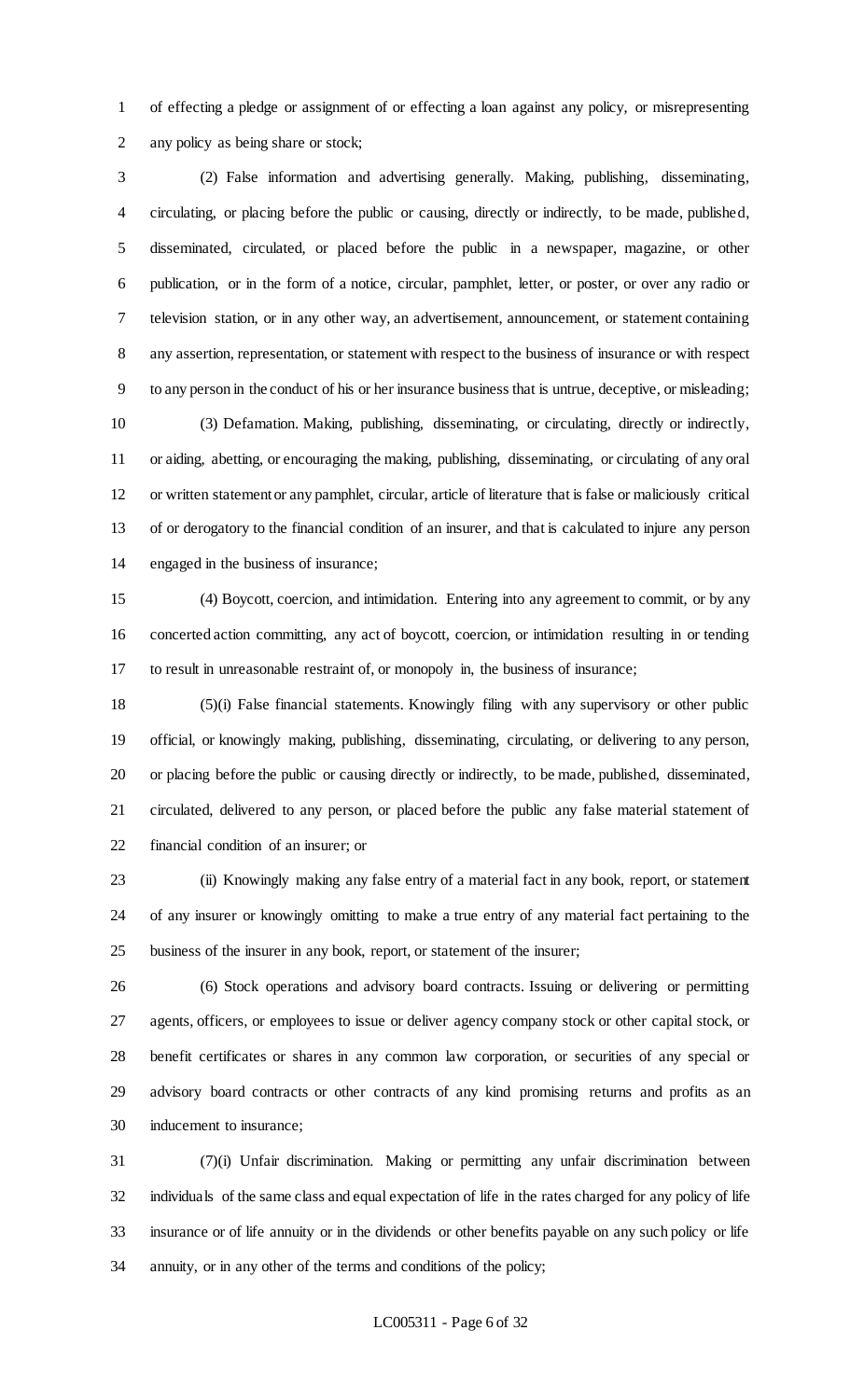of effecting a pledge or assignment of or effecting a loan against any policy, or misrepresenting any policy as being share or stock;

 (2) False information and advertising generally. Making, publishing, disseminating, circulating, or placing before the public or causing, directly or indirectly, to be made, published, disseminated, circulated, or placed before the public in a newspaper, magazine, or other publication, or in the form of a notice, circular, pamphlet, letter, or poster, or over any radio or television station, or in any other way, an advertisement, announcement, or statement containing any assertion, representation, or statement with respect to the business of insurance or with respect to any person in the conduct of his or her insurance business that is untrue, deceptive, or misleading; (3) Defamation. Making, publishing, disseminating, or circulating, directly or indirectly,

 or aiding, abetting, or encouraging the making, publishing, disseminating, or circulating of any oral or written statement or any pamphlet, circular, article of literature that is false or maliciously critical of or derogatory to the financial condition of an insurer, and that is calculated to injure any person engaged in the business of insurance;

 (4) Boycott, coercion, and intimidation. Entering into any agreement to commit, or by any concerted action committing, any act of boycott, coercion, or intimidation resulting in or tending to result in unreasonable restraint of, or monopoly in, the business of insurance;

 (5)(i) False financial statements. Knowingly filing with any supervisory or other public official, or knowingly making, publishing, disseminating, circulating, or delivering to any person, or placing before the public or causing directly or indirectly, to be made, published, disseminated, circulated, delivered to any person, or placed before the public any false material statement of financial condition of an insurer; or

 (ii) Knowingly making any false entry of a material fact in any book, report, or statement of any insurer or knowingly omitting to make a true entry of any material fact pertaining to the business of the insurer in any book, report, or statement of the insurer;

 (6) Stock operations and advisory board contracts. Issuing or delivering or permitting agents, officers, or employees to issue or deliver agency company stock or other capital stock, or benefit certificates or shares in any common law corporation, or securities of any special or advisory board contracts or other contracts of any kind promising returns and profits as an inducement to insurance;

 (7)(i) Unfair discrimination. Making or permitting any unfair discrimination between individuals of the same class and equal expectation of life in the rates charged for any policy of life insurance or of life annuity or in the dividends or other benefits payable on any such policy or life annuity, or in any other of the terms and conditions of the policy;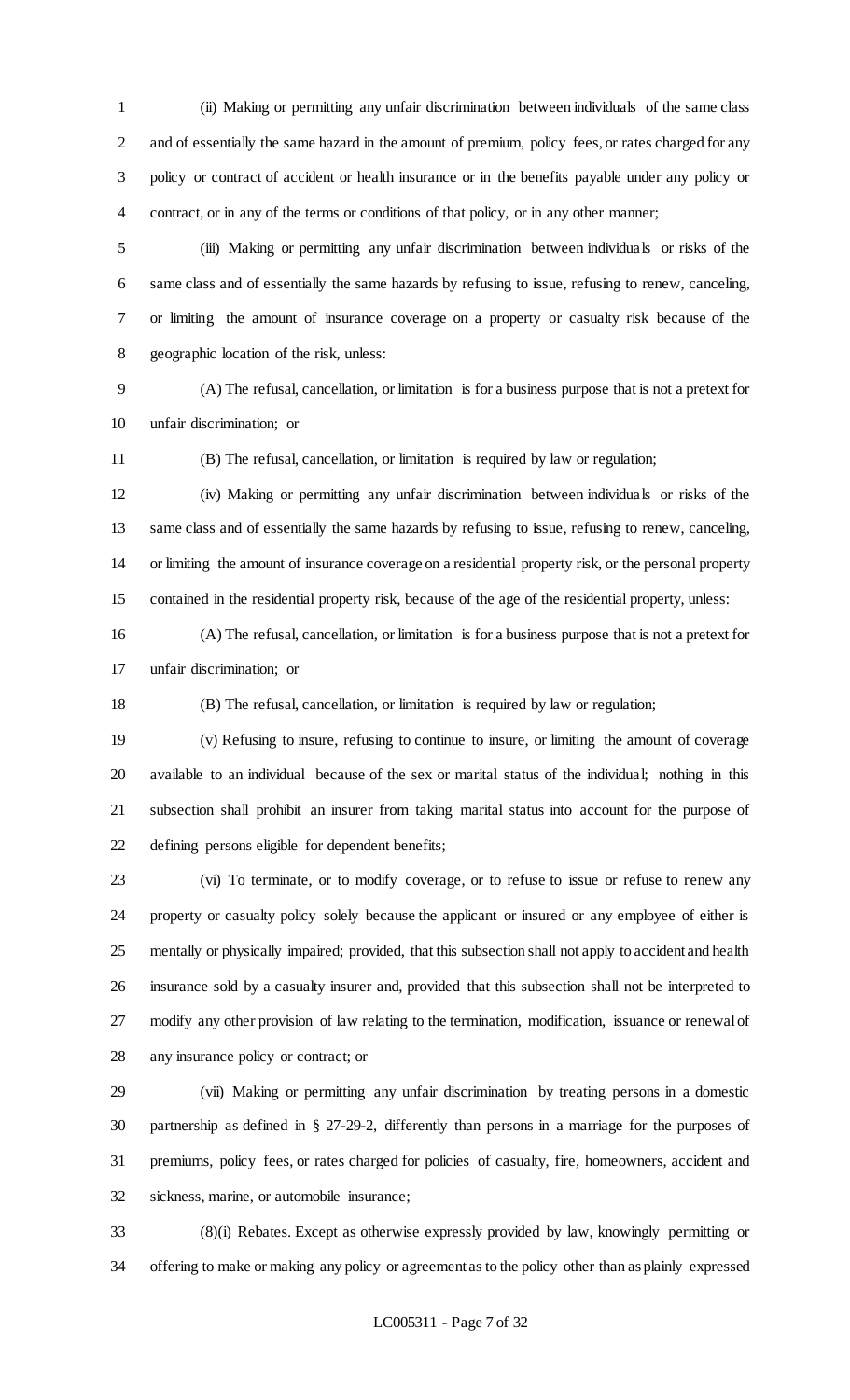(ii) Making or permitting any unfair discrimination between individuals of the same class and of essentially the same hazard in the amount of premium, policy fees, or rates charged for any policy or contract of accident or health insurance or in the benefits payable under any policy or contract, or in any of the terms or conditions of that policy, or in any other manner;

 (iii) Making or permitting any unfair discrimination between individuals or risks of the same class and of essentially the same hazards by refusing to issue, refusing to renew, canceling, or limiting the amount of insurance coverage on a property or casualty risk because of the geographic location of the risk, unless:

 (A) The refusal, cancellation, or limitation is for a business purpose that is not a pretext for unfair discrimination; or

(B) The refusal, cancellation, or limitation is required by law or regulation;

 (iv) Making or permitting any unfair discrimination between individuals or risks of the same class and of essentially the same hazards by refusing to issue, refusing to renew, canceling, or limiting the amount of insurance coverage on a residential property risk, or the personal property contained in the residential property risk, because of the age of the residential property, unless:

 (A) The refusal, cancellation, or limitation is for a business purpose that is not a pretext for unfair discrimination; or

(B) The refusal, cancellation, or limitation is required by law or regulation;

 (v) Refusing to insure, refusing to continue to insure, or limiting the amount of coverage available to an individual because of the sex or marital status of the individual; nothing in this subsection shall prohibit an insurer from taking marital status into account for the purpose of defining persons eligible for dependent benefits;

 (vi) To terminate, or to modify coverage, or to refuse to issue or refuse to renew any property or casualty policy solely because the applicant or insured or any employee of either is mentally or physically impaired; provided, that this subsection shall not apply to accident and health insurance sold by a casualty insurer and, provided that this subsection shall not be interpreted to modify any other provision of law relating to the termination, modification, issuance or renewal of any insurance policy or contract; or

 (vii) Making or permitting any unfair discrimination by treating persons in a domestic partnership as defined in § 27-29-2, differently than persons in a marriage for the purposes of premiums, policy fees, or rates charged for policies of casualty, fire, homeowners, accident and sickness, marine, or automobile insurance;

 (8)(i) Rebates. Except as otherwise expressly provided by law, knowingly permitting or offering to make or making any policy or agreement as to the policy other than as plainly expressed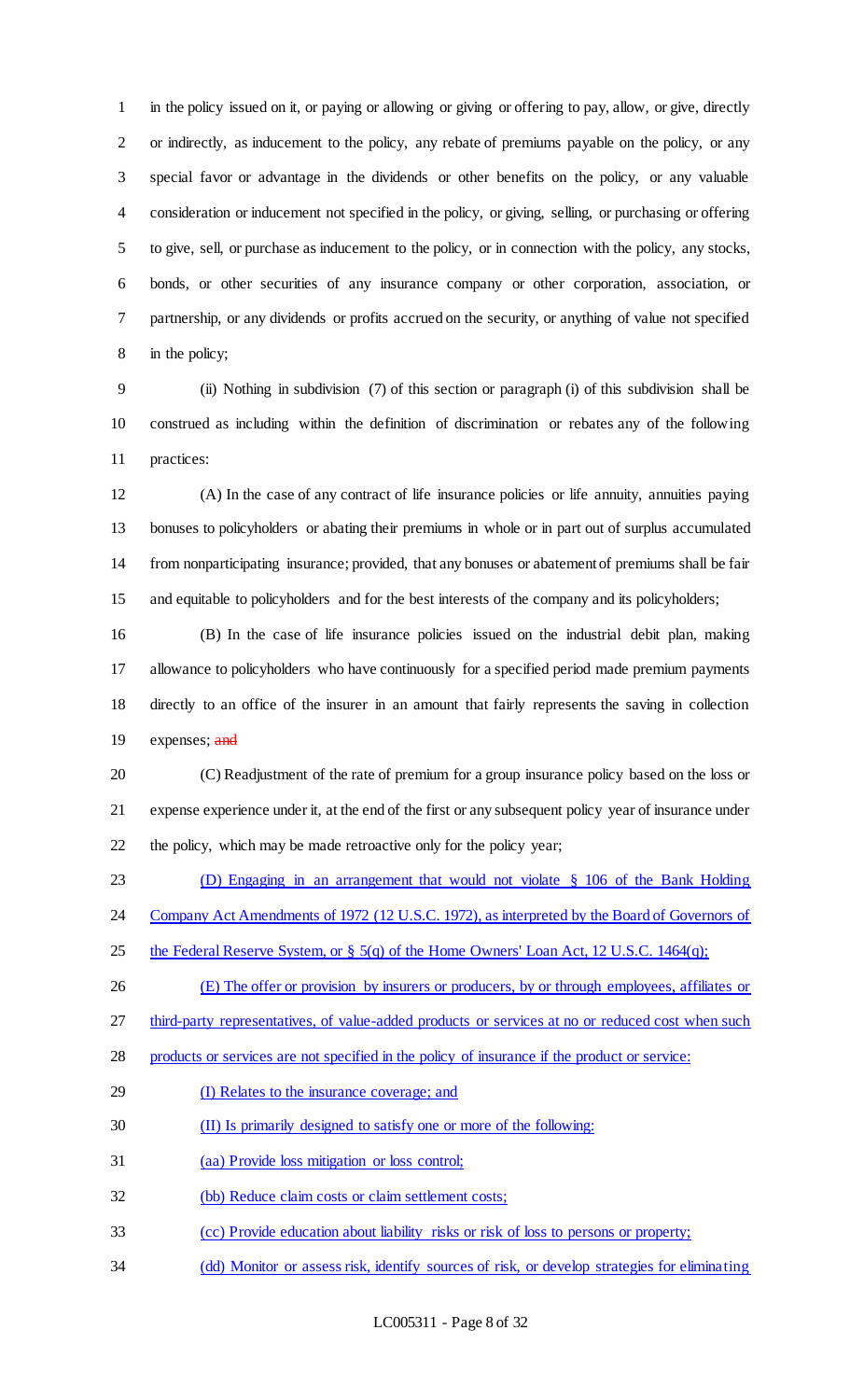in the policy issued on it, or paying or allowing or giving or offering to pay, allow, or give, directly or indirectly, as inducement to the policy, any rebate of premiums payable on the policy, or any special favor or advantage in the dividends or other benefits on the policy, or any valuable consideration or inducement not specified in the policy, or giving, selling, or purchasing or offering to give, sell, or purchase as inducement to the policy, or in connection with the policy, any stocks, bonds, or other securities of any insurance company or other corporation, association, or partnership, or any dividends or profits accrued on the security, or anything of value not specified in the policy;

 (ii) Nothing in subdivision (7) of this section or paragraph (i) of this subdivision shall be construed as including within the definition of discrimination or rebates any of the following practices:

 (A) In the case of any contract of life insurance policies or life annuity, annuities paying bonuses to policyholders or abating their premiums in whole or in part out of surplus accumulated from nonparticipating insurance; provided, that any bonuses or abatement of premiums shall be fair and equitable to policyholders and for the best interests of the company and its policyholders;

 (B) In the case of life insurance policies issued on the industrial debit plan, making allowance to policyholders who have continuously for a specified period made premium payments directly to an office of the insurer in an amount that fairly represents the saving in collection 19 expenses; and

 (C) Readjustment of the rate of premium for a group insurance policy based on the loss or expense experience under it, at the end of the first or any subsequent policy year of insurance under the policy, which may be made retroactive only for the policy year;

(D) Engaging in an arrangement that would not violate § 106 of the Bank Holding

24 Company Act Amendments of 1972 (12 U.S.C. 1972), as interpreted by the Board of Governors of

25 the Federal Reserve System, or  $\S$  5(q) of the Home Owners' Loan Act, 12 U.S.C. 1464(q);

(E) The offer or provision by insurers or producers, by or through employees, affiliates or

27 third-party representatives, of value-added products or services at no or reduced cost when such

products or services are not specified in the policy of insurance if the product or service:

- (I) Relates to the insurance coverage; and
- (II) Is primarily designed to satisfy one or more of the following:
- (aa) Provide loss mitigation or loss control;
- (bb) Reduce claim costs or claim settlement costs;
- (cc) Provide education about liability risks or risk of loss to persons or property;
- (dd) Monitor or assess risk, identify sources of risk, or develop strategies for eliminating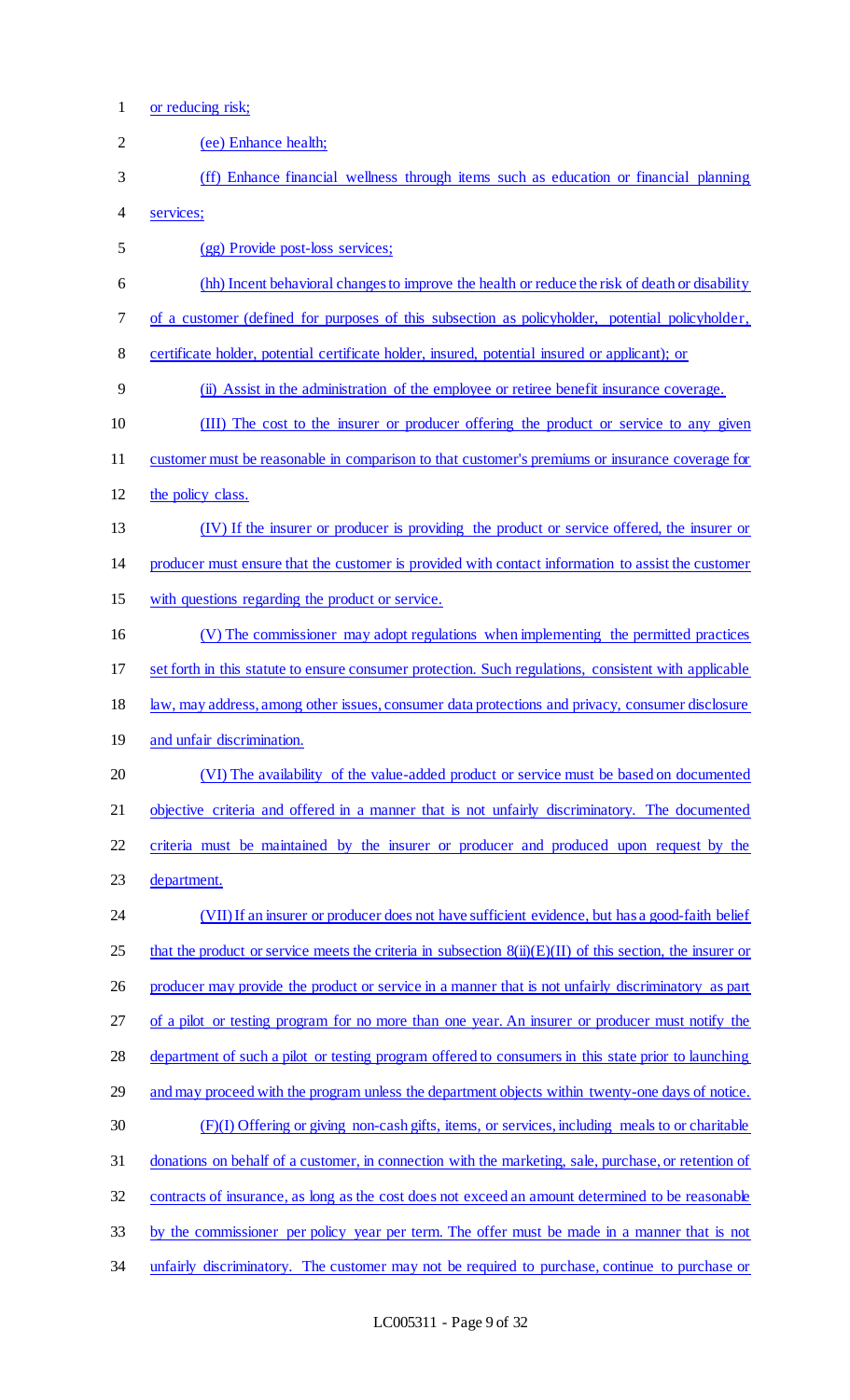1 or reducing risk;

| $\overline{2}$ | (ee) Enhance health;                                                                                        |
|----------------|-------------------------------------------------------------------------------------------------------------|
| 3              | (ff) Enhance financial wellness through items such as education or financial planning                       |
| 4              | services;                                                                                                   |
| 5              | (gg) Provide post-loss services;                                                                            |
| 6              | (hh) Incent behavioral changes to improve the health or reduce the risk of death or disability              |
| 7              | of a customer (defined for purposes of this subsection as policyholder, potential policyholder,             |
| 8              | certificate holder, potential certificate holder, insured, potential insured or applicant); or              |
| 9              | (ii) Assist in the administration of the employee or retiree benefit insurance coverage.                    |
| 10             | (III) The cost to the insurer or producer offering the product or service to any given                      |
| 11             | customer must be reasonable in comparison to that customer's premiums or insurance coverage for             |
| 12             | the policy class.                                                                                           |
| 13             | (IV) If the insurer or producer is providing the product or service offered, the insurer or                 |
| 14             | producer must ensure that the customer is provided with contact information to assist the customer          |
| 15             | with questions regarding the product or service.                                                            |
| 16             | (V) The commissioner may adopt regulations when implementing the permitted practices                        |
| 17             | set forth in this statute to ensure consumer protection. Such regulations, consistent with applicable       |
| 18             | law, may address, among other issues, consumer data protections and privacy, consumer disclosure            |
| 19             | and unfair discrimination.                                                                                  |
| 20             | (VI) The availability of the value-added product or service must be based on documented                     |
| 21             | objective criteria and offered in a manner that is not unfairly discriminatory. The documented              |
| 22             | criteria must be maintained by the insurer or producer and produced upon request by the                     |
| 23             | department.                                                                                                 |
| 24             | (VII) If an insurer or producer does not have sufficient evidence, but has a good-faith belief              |
| 25             | that the product or service meets the criteria in subsection $8(ii)(E)(II)$ of this section, the insurer or |
| 26             | producer may provide the product or service in a manner that is not unfairly discriminatory as part         |
| 27             | of a pilot or testing program for no more than one year. An insurer or producer must notify the             |
| 28             | department of such a pilot or testing program offered to consumers in this state prior to launching         |
| 29             | and may proceed with the program unless the department objects within twenty-one days of notice.            |
| 30             | (F)(I) Offering or giving non-cash gifts, items, or services, including meals to or charitable              |
| 31             | donations on behalf of a customer, in connection with the marketing, sale, purchase, or retention of        |
| 32             | contracts of insurance, as long as the cost does not exceed an amount determined to be reasonable           |
| 33             | by the commissioner per policy year per term. The offer must be made in a manner that is not                |
| 34             | unfairly discriminatory. The customer may not be required to purchase, continue to purchase or              |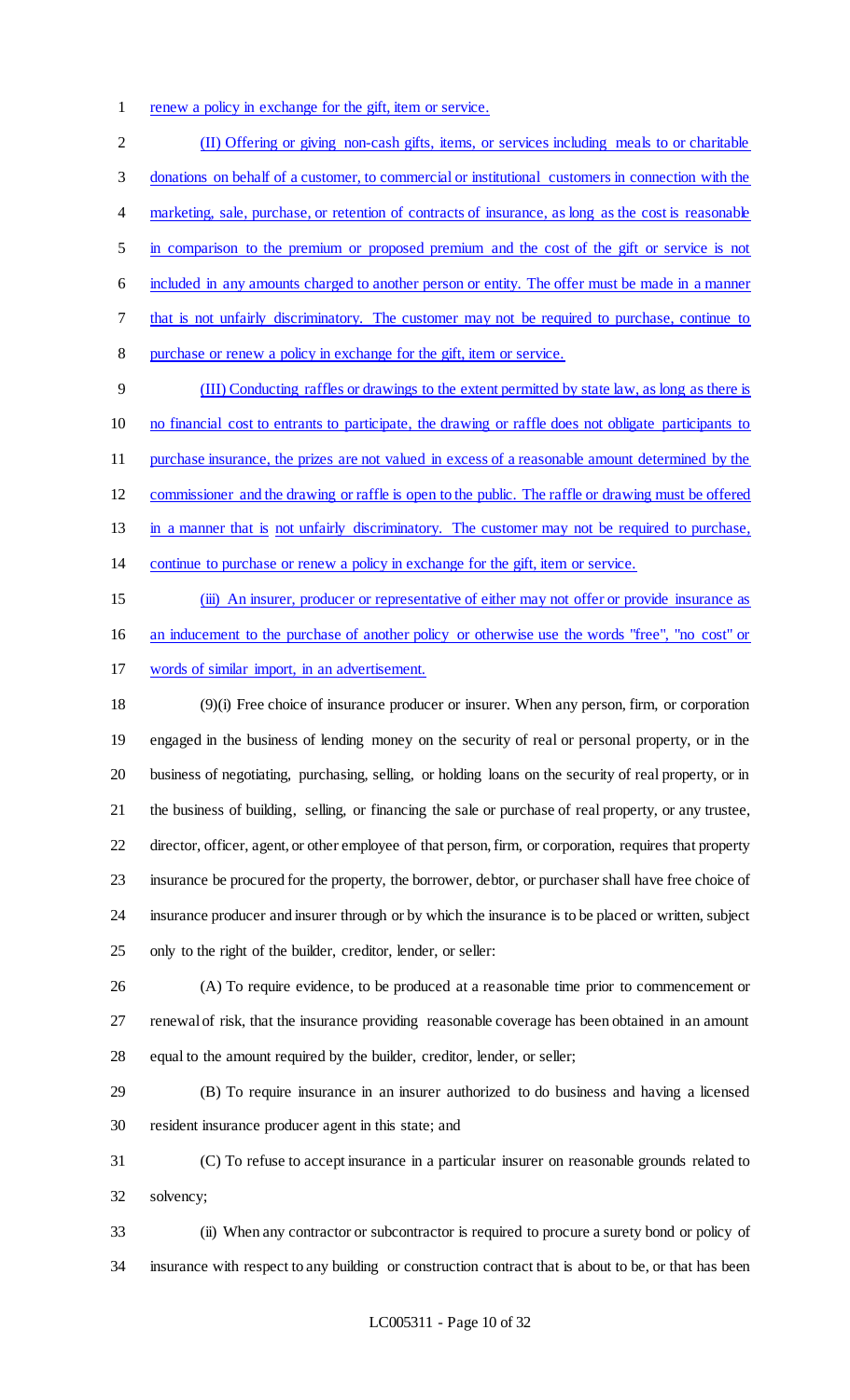renew a policy in exchange for the gift, item or service.

 (II) Offering or giving non-cash gifts, items, or services including meals to or charitable donations on behalf of a customer, to commercial or institutional customers in connection with the 4 marketing, sale, purchase, or retention of contracts of insurance, as long as the cost is reasonable in comparison to the premium or proposed premium and the cost of the gift or service is not included in any amounts charged to another person or entity. The offer must be made in a manner that is not unfairly discriminatory. The customer may not be required to purchase, continue to purchase or renew a policy in exchange for the gift, item or service. (III) Conducting raffles or drawings to the extent permitted by state law, as long as there is

 no financial cost to entrants to participate, the drawing or raffle does not obligate participants to purchase insurance, the prizes are not valued in excess of a reasonable amount determined by the commissioner and the drawing or raffle is open to the public. The raffle or drawing must be offered in a manner that is not unfairly discriminatory. The customer may not be required to purchase, continue to purchase or renew a policy in exchange for the gift, item or service.

 (iii) An insurer, producer or representative of either may not offer or provide insurance as an inducement to the purchase of another policy or otherwise use the words "free", "no cost" or words of similar import, in an advertisement.

 (9)(i) Free choice of insurance producer or insurer. When any person, firm, or corporation engaged in the business of lending money on the security of real or personal property, or in the business of negotiating, purchasing, selling, or holding loans on the security of real property, or in the business of building, selling, or financing the sale or purchase of real property, or any trustee, director, officer, agent, or other employee of that person, firm, or corporation, requires that property insurance be procured for the property, the borrower, debtor, or purchaser shall have free choice of insurance producer and insurer through or by which the insurance is to be placed or written, subject only to the right of the builder, creditor, lender, or seller:

 (A) To require evidence, to be produced at a reasonable time prior to commencement or renewal of risk, that the insurance providing reasonable coverage has been obtained in an amount equal to the amount required by the builder, creditor, lender, or seller;

 (B) To require insurance in an insurer authorized to do business and having a licensed resident insurance producer agent in this state; and

 (C) To refuse to accept insurance in a particular insurer on reasonable grounds related to solvency;

 (ii) When any contractor or subcontractor is required to procure a surety bond or policy of insurance with respect to any building or construction contract that is about to be, or that has been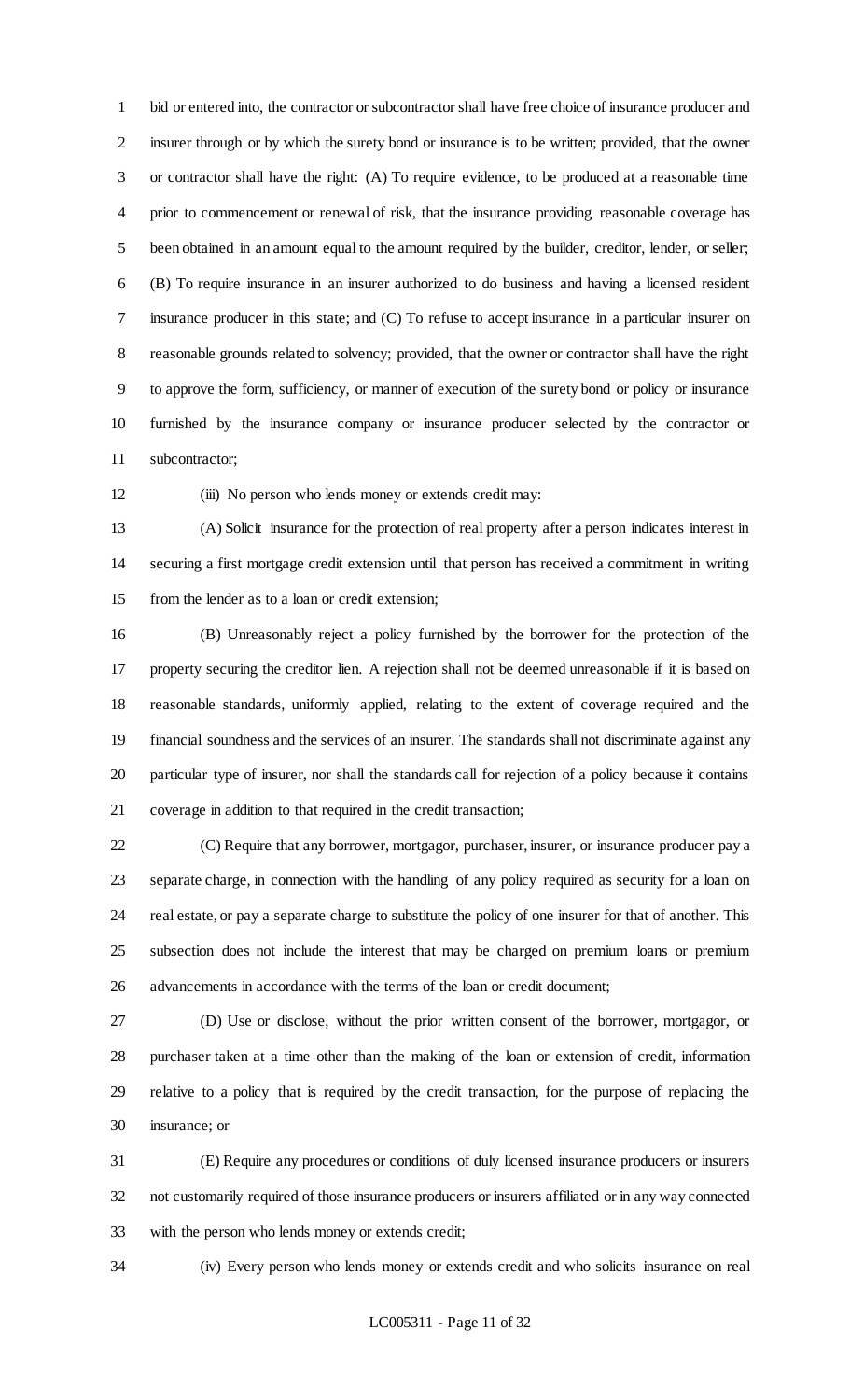bid or entered into, the contractor or subcontractor shall have free choice of insurance producer and insurer through or by which the surety bond or insurance is to be written; provided, that the owner or contractor shall have the right: (A) To require evidence, to be produced at a reasonable time prior to commencement or renewal of risk, that the insurance providing reasonable coverage has been obtained in an amount equal to the amount required by the builder, creditor, lender, or seller; (B) To require insurance in an insurer authorized to do business and having a licensed resident insurance producer in this state; and (C) To refuse to accept insurance in a particular insurer on reasonable grounds related to solvency; provided, that the owner or contractor shall have the right to approve the form, sufficiency, or manner of execution of the surety bond or policy or insurance furnished by the insurance company or insurance producer selected by the contractor or subcontractor;

12 (iii) No person who lends money or extends credit may:

 (A) Solicit insurance for the protection of real property after a person indicates interest in securing a first mortgage credit extension until that person has received a commitment in writing from the lender as to a loan or credit extension;

 (B) Unreasonably reject a policy furnished by the borrower for the protection of the property securing the creditor lien. A rejection shall not be deemed unreasonable if it is based on reasonable standards, uniformly applied, relating to the extent of coverage required and the financial soundness and the services of an insurer. The standards shall not discriminate against any particular type of insurer, nor shall the standards call for rejection of a policy because it contains coverage in addition to that required in the credit transaction;

 (C) Require that any borrower, mortgagor, purchaser, insurer, or insurance producer pay a separate charge, in connection with the handling of any policy required as security for a loan on real estate, or pay a separate charge to substitute the policy of one insurer for that of another. This subsection does not include the interest that may be charged on premium loans or premium advancements in accordance with the terms of the loan or credit document;

 (D) Use or disclose, without the prior written consent of the borrower, mortgagor, or purchaser taken at a time other than the making of the loan or extension of credit, information relative to a policy that is required by the credit transaction, for the purpose of replacing the insurance; or

 (E) Require any procedures or conditions of duly licensed insurance producers or insurers not customarily required of those insurance producers or insurers affiliated or in any way connected with the person who lends money or extends credit;

(iv) Every person who lends money or extends credit and who solicits insurance on real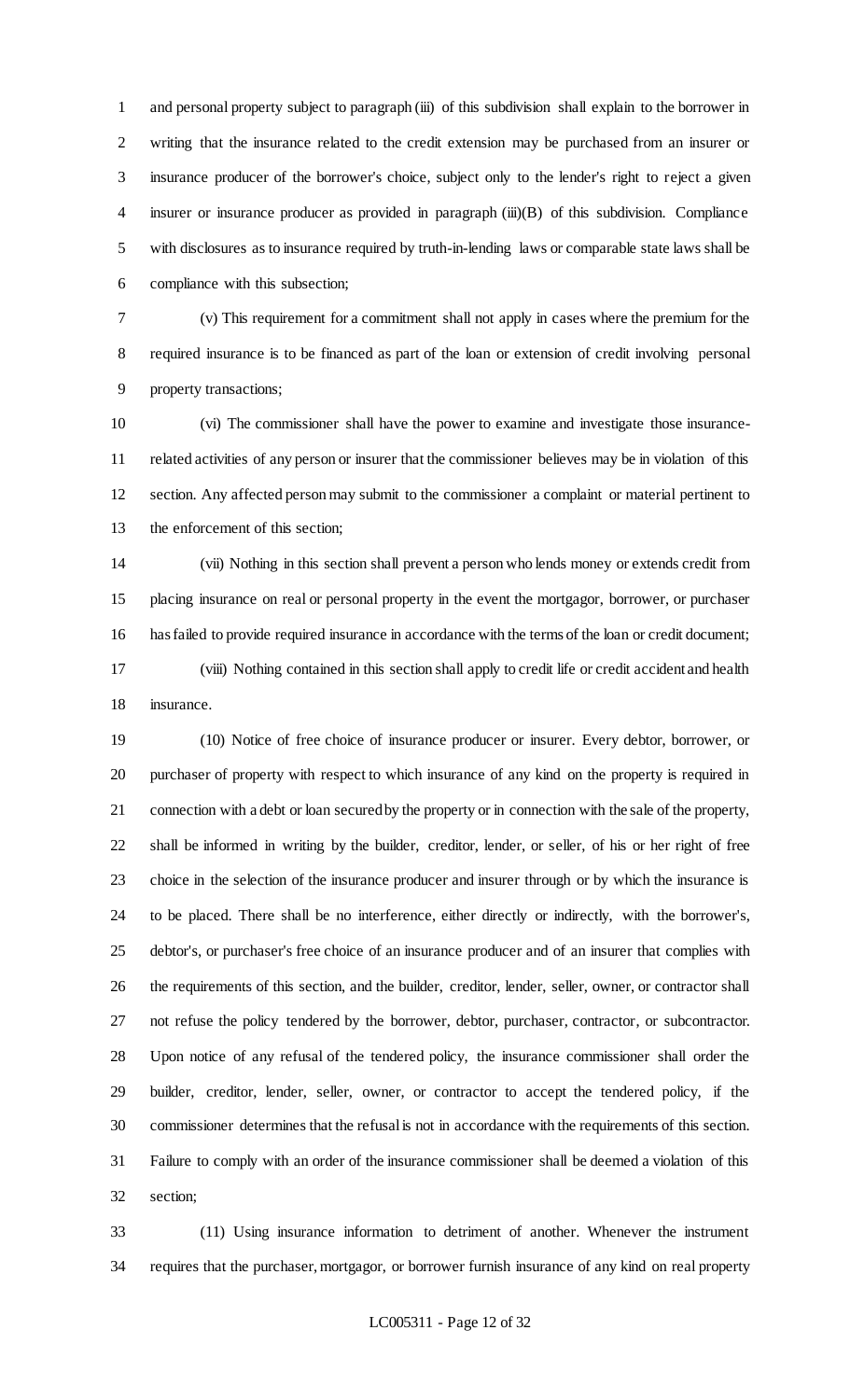and personal property subject to paragraph (iii) of this subdivision shall explain to the borrower in writing that the insurance related to the credit extension may be purchased from an insurer or insurance producer of the borrower's choice, subject only to the lender's right to reject a given insurer or insurance producer as provided in paragraph (iii)(B) of this subdivision. Compliance with disclosures as to insurance required by truth-in-lending laws or comparable state laws shall be compliance with this subsection;

 (v) This requirement for a commitment shall not apply in cases where the premium for the required insurance is to be financed as part of the loan or extension of credit involving personal property transactions;

 (vi) The commissioner shall have the power to examine and investigate those insurance- related activities of any person or insurer that the commissioner believes may be in violation of this section. Any affected person may submit to the commissioner a complaint or material pertinent to the enforcement of this section;

 (vii) Nothing in this section shall prevent a person who lends money or extends credit from placing insurance on real or personal property in the event the mortgagor, borrower, or purchaser has failed to provide required insurance in accordance with the terms of the loan or credit document; (viii) Nothing contained in this section shall apply to credit life or credit accident and health insurance.

 (10) Notice of free choice of insurance producer or insurer. Every debtor, borrower, or purchaser of property with respect to which insurance of any kind on the property is required in connection with a debt or loan secured by the property or in connection with the sale of the property, shall be informed in writing by the builder, creditor, lender, or seller, of his or her right of free choice in the selection of the insurance producer and insurer through or by which the insurance is to be placed. There shall be no interference, either directly or indirectly, with the borrower's, debtor's, or purchaser's free choice of an insurance producer and of an insurer that complies with the requirements of this section, and the builder, creditor, lender, seller, owner, or contractor shall not refuse the policy tendered by the borrower, debtor, purchaser, contractor, or subcontractor. Upon notice of any refusal of the tendered policy, the insurance commissioner shall order the builder, creditor, lender, seller, owner, or contractor to accept the tendered policy, if the commissioner determines that the refusal is not in accordance with the requirements of this section. Failure to comply with an order of the insurance commissioner shall be deemed a violation of this section;

 (11) Using insurance information to detriment of another. Whenever the instrument requires that the purchaser, mortgagor, or borrower furnish insurance of any kind on real property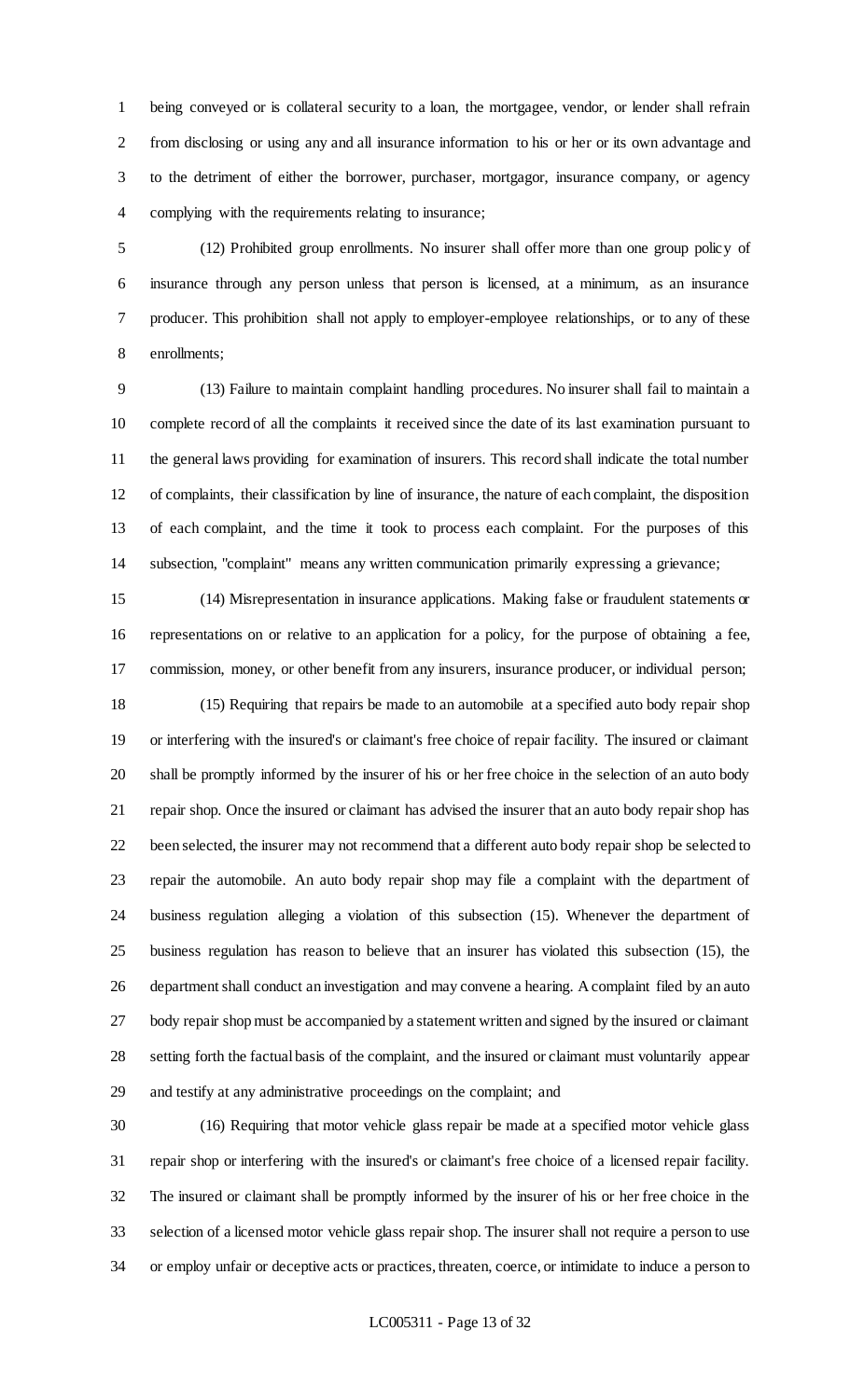being conveyed or is collateral security to a loan, the mortgagee, vendor, or lender shall refrain from disclosing or using any and all insurance information to his or her or its own advantage and to the detriment of either the borrower, purchaser, mortgagor, insurance company, or agency complying with the requirements relating to insurance;

 (12) Prohibited group enrollments. No insurer shall offer more than one group policy of insurance through any person unless that person is licensed, at a minimum, as an insurance producer. This prohibition shall not apply to employer-employee relationships, or to any of these enrollments;

 (13) Failure to maintain complaint handling procedures. No insurer shall fail to maintain a complete record of all the complaints it received since the date of its last examination pursuant to the general laws providing for examination of insurers. This record shall indicate the total number of complaints, their classification by line of insurance, the nature of each complaint, the disposition of each complaint, and the time it took to process each complaint. For the purposes of this subsection, "complaint" means any written communication primarily expressing a grievance;

 (14) Misrepresentation in insurance applications. Making false or fraudulent statements or representations on or relative to an application for a policy, for the purpose of obtaining a fee, commission, money, or other benefit from any insurers, insurance producer, or individual person; (15) Requiring that repairs be made to an automobile at a specified auto body repair shop or interfering with the insured's or claimant's free choice of repair facility. The insured or claimant shall be promptly informed by the insurer of his or her free choice in the selection of an auto body repair shop. Once the insured or claimant has advised the insurer that an auto body repair shop has been selected, the insurer may not recommend that a different auto body repair shop be selected to repair the automobile. An auto body repair shop may file a complaint with the department of business regulation alleging a violation of this subsection (15). Whenever the department of business regulation has reason to believe that an insurer has violated this subsection (15), the department shall conduct an investigation and may convene a hearing. A complaint filed by an auto body repair shop must be accompanied by a statement written and signed by the insured or claimant setting forth the factual basis of the complaint, and the insured or claimant must voluntarily appear and testify at any administrative proceedings on the complaint; and

 (16) Requiring that motor vehicle glass repair be made at a specified motor vehicle glass repair shop or interfering with the insured's or claimant's free choice of a licensed repair facility. The insured or claimant shall be promptly informed by the insurer of his or her free choice in the selection of a licensed motor vehicle glass repair shop. The insurer shall not require a person to use or employ unfair or deceptive acts or practices, threaten, coerce, or intimidate to induce a person to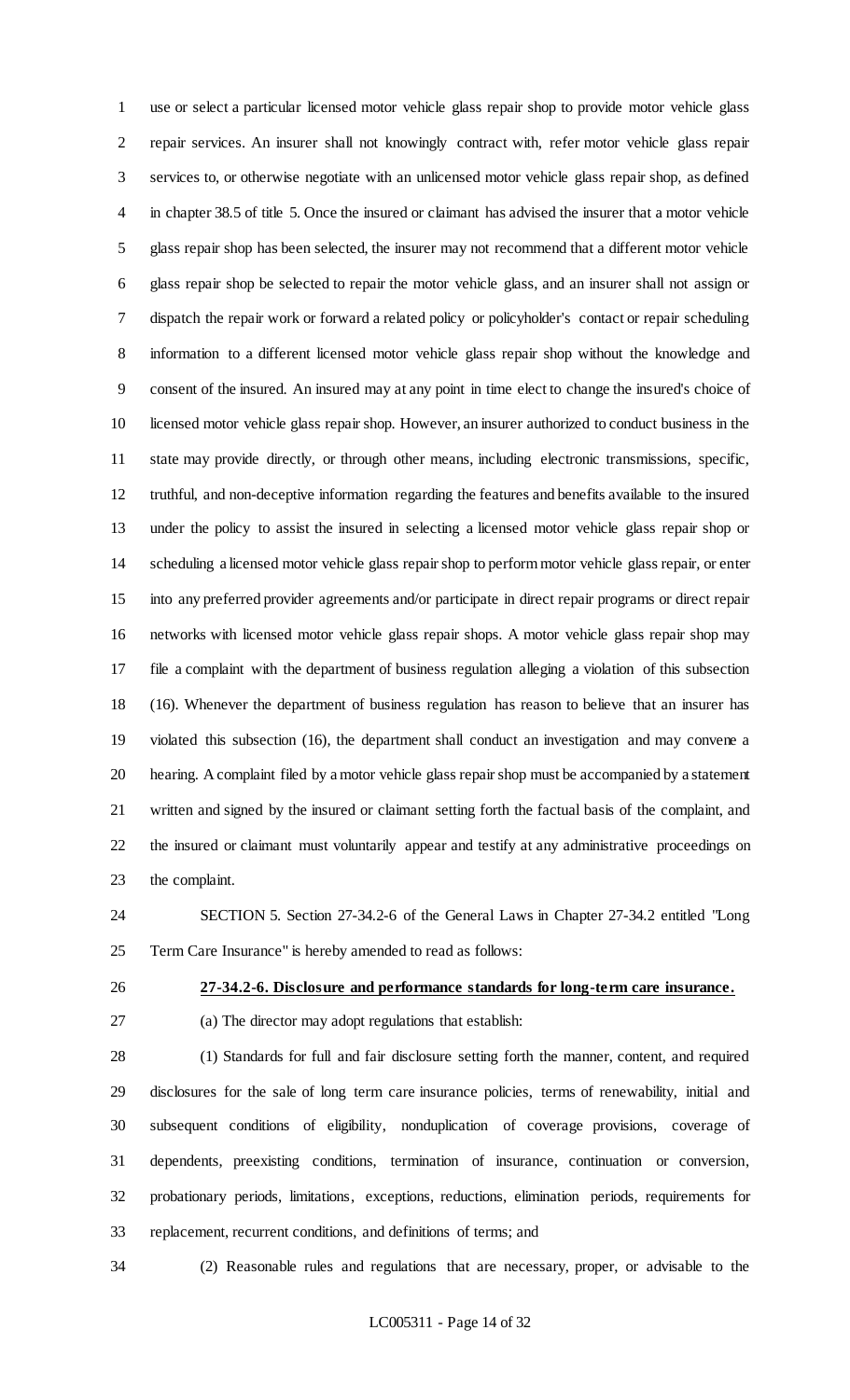use or select a particular licensed motor vehicle glass repair shop to provide motor vehicle glass repair services. An insurer shall not knowingly contract with, refer motor vehicle glass repair services to, or otherwise negotiate with an unlicensed motor vehicle glass repair shop, as defined in chapter 38.5 of title 5. Once the insured or claimant has advised the insurer that a motor vehicle glass repair shop has been selected, the insurer may not recommend that a different motor vehicle glass repair shop be selected to repair the motor vehicle glass, and an insurer shall not assign or dispatch the repair work or forward a related policy or policyholder's contact or repair scheduling information to a different licensed motor vehicle glass repair shop without the knowledge and consent of the insured. An insured may at any point in time elect to change the insured's choice of licensed motor vehicle glass repair shop. However, an insurer authorized to conduct business in the state may provide directly, or through other means, including electronic transmissions, specific, truthful, and non-deceptive information regarding the features and benefits available to the insured under the policy to assist the insured in selecting a licensed motor vehicle glass repair shop or scheduling a licensed motor vehicle glass repair shop to perform motor vehicle glass repair, or enter into any preferred provider agreements and/or participate in direct repair programs or direct repair networks with licensed motor vehicle glass repair shops. A motor vehicle glass repair shop may file a complaint with the department of business regulation alleging a violation of this subsection (16). Whenever the department of business regulation has reason to believe that an insurer has violated this subsection (16), the department shall conduct an investigation and may convene a hearing. A complaint filed by a motor vehicle glass repair shop must be accompanied by a statement written and signed by the insured or claimant setting forth the factual basis of the complaint, and the insured or claimant must voluntarily appear and testify at any administrative proceedings on the complaint.

 SECTION 5. Section 27-34.2-6 of the General Laws in Chapter 27-34.2 entitled "Long Term Care Insurance" is hereby amended to read as follows:

**27-34.2-6. Disclosure and performance standards for long-term care insurance.**

(a) The director may adopt regulations that establish:

 (1) Standards for full and fair disclosure setting forth the manner, content, and required disclosures for the sale of long term care insurance policies, terms of renewability, initial and subsequent conditions of eligibility, nonduplication of coverage provisions, coverage of dependents, preexisting conditions, termination of insurance, continuation or conversion, probationary periods, limitations, exceptions, reductions, elimination periods, requirements for replacement, recurrent conditions, and definitions of terms; and

(2) Reasonable rules and regulations that are necessary, proper, or advisable to the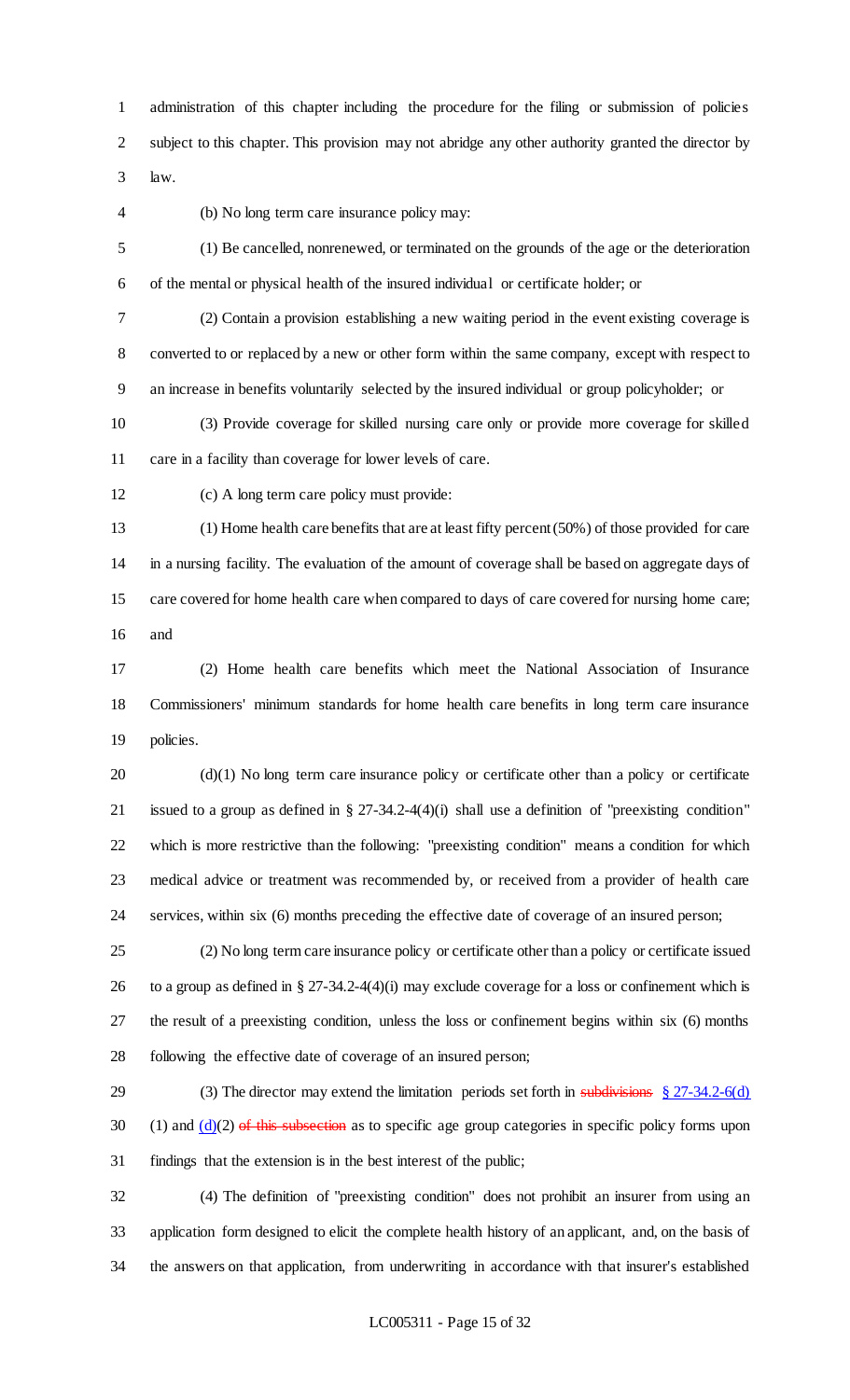administration of this chapter including the procedure for the filing or submission of policies subject to this chapter. This provision may not abridge any other authority granted the director by law.

(b) No long term care insurance policy may:

 (1) Be cancelled, nonrenewed, or terminated on the grounds of the age or the deterioration of the mental or physical health of the insured individual or certificate holder; or

 (2) Contain a provision establishing a new waiting period in the event existing coverage is converted to or replaced by a new or other form within the same company, except with respect to an increase in benefits voluntarily selected by the insured individual or group policyholder; or

 (3) Provide coverage for skilled nursing care only or provide more coverage for skilled care in a facility than coverage for lower levels of care.

(c) A long term care policy must provide:

 (1) Home health care benefits that are at least fifty percent (50%) of those provided for care in a nursing facility. The evaluation of the amount of coverage shall be based on aggregate days of care covered for home health care when compared to days of care covered for nursing home care; and

 (2) Home health care benefits which meet the National Association of Insurance Commissioners' minimum standards for home health care benefits in long term care insurance policies.

 (d)(1) No long term care insurance policy or certificate other than a policy or certificate issued to a group as defined in § 27-34.2-4(4)(i) shall use a definition of "preexisting condition" which is more restrictive than the following: "preexisting condition" means a condition for which medical advice or treatment was recommended by, or received from a provider of health care services, within six (6) months preceding the effective date of coverage of an insured person;

 (2) No long term care insurance policy or certificate other than a policy or certificate issued to a group as defined in § 27-34.2-4(4)(i) may exclude coverage for a loss or confinement which is the result of a preexisting condition, unless the loss or confinement begins within six (6) months following the effective date of coverage of an insured person;

29 (3) The director may extend the limitation periods set forth in subdivisions § 27-34.2-6(d) 30 (1) and  $(d)(2)$  of this subsection as to specific age group categories in specific policy forms upon findings that the extension is in the best interest of the public;

 (4) The definition of "preexisting condition" does not prohibit an insurer from using an application form designed to elicit the complete health history of an applicant, and, on the basis of the answers on that application, from underwriting in accordance with that insurer's established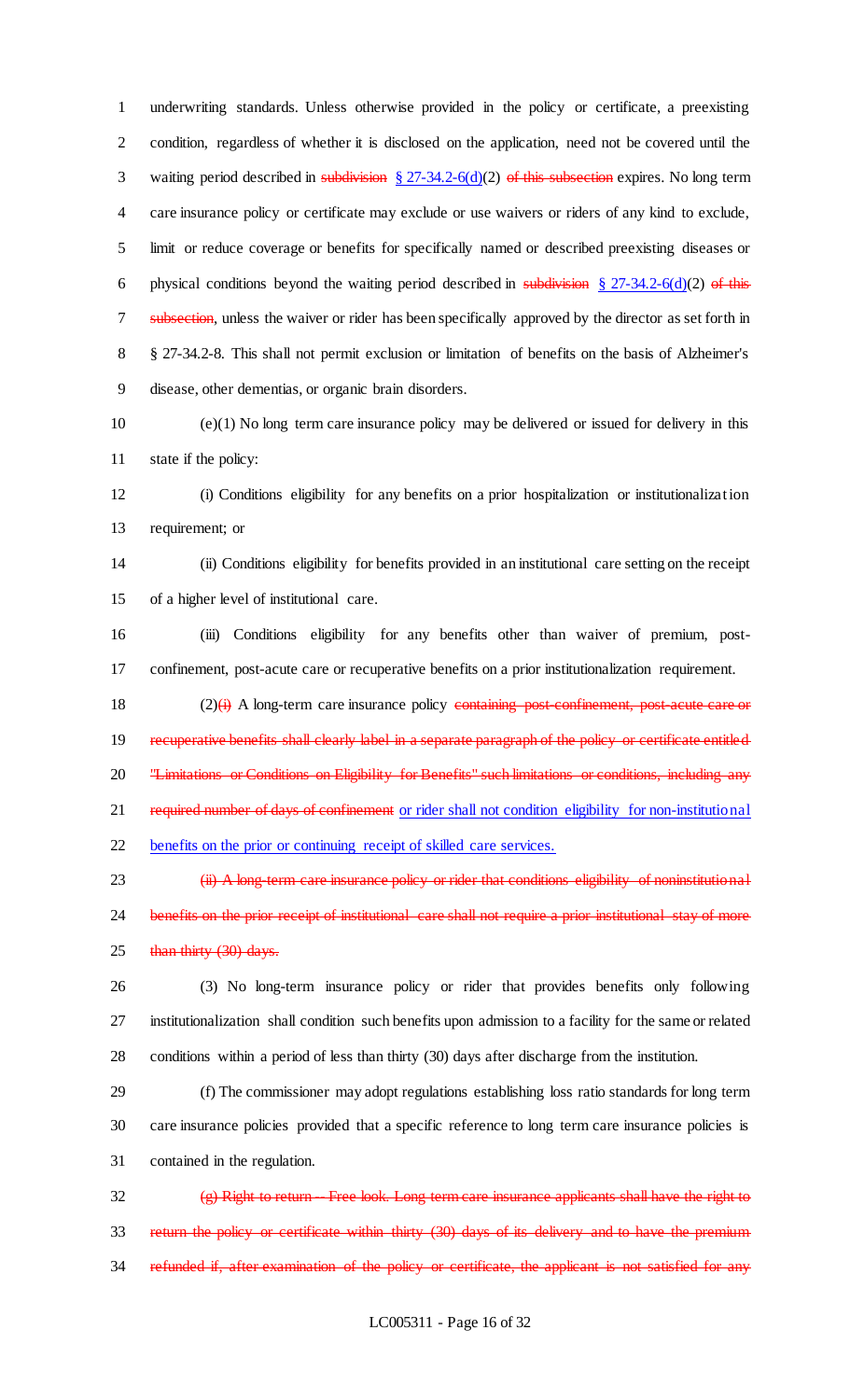underwriting standards. Unless otherwise provided in the policy or certificate, a preexisting condition, regardless of whether it is disclosed on the application, need not be covered until the 3 waiting period described in subdivision  $\S 27-34.2-6(d)(2)$  of this subsection expires. No long term care insurance policy or certificate may exclude or use waivers or riders of any kind to exclude, limit or reduce coverage or benefits for specifically named or described preexisting diseases or 6 physical conditions beyond the waiting period described in subdivision  $\S 27-34.2-6(d)(2)$  of this 7 subsection, unless the waiver or rider has been specifically approved by the director as set forth in § 27-34.2-8. This shall not permit exclusion or limitation of benefits on the basis of Alzheimer's disease, other dementias, or organic brain disorders.

 (e)(1) No long term care insurance policy may be delivered or issued for delivery in this state if the policy:

 (i) Conditions eligibility for any benefits on a prior hospitalization or institutionalization requirement; or

 (ii) Conditions eligibility for benefits provided in an institutional care setting on the receipt of a higher level of institutional care.

 (iii) Conditions eligibility for any benefits other than waiver of premium, post-confinement, post-acute care or recuperative benefits on a prior institutionalization requirement.

18  $(2)(i)$  A long-term care insurance policy containing post-confinement, post-acute care or 19 recuperative benefits shall clearly label in a separate paragraph of the policy or certificate entitled 20 "Limitations or Conditions on Eligibility for Benefits" such limitations or conditions, including any 21 required number of days of confinement or rider shall not condition eligibility for non-institutional benefits on the prior or continuing receipt of skilled care services.

23 (ii) A long-term care insurance policy or rider that conditions eligibility of noninstitutional 24 benefits on the prior receipt of institutional care shall not require a prior institutional stay of more 25 than thirty (30) days.

 (3) No long-term insurance policy or rider that provides benefits only following institutionalization shall condition such benefits upon admission to a facility for the same or related conditions within a period of less than thirty (30) days after discharge from the institution.

 (f) The commissioner may adopt regulations establishing loss ratio standards for long term care insurance policies provided that a specific reference to long term care insurance policies is contained in the regulation.

32 (g) Right to return -- Free look. Long term care insurance applicants shall have the right to return the policy or certificate within thirty (30) days of its delivery and to have the premium 34 refunded if, after examination of the policy or certificate, the applicant is not satisfied for any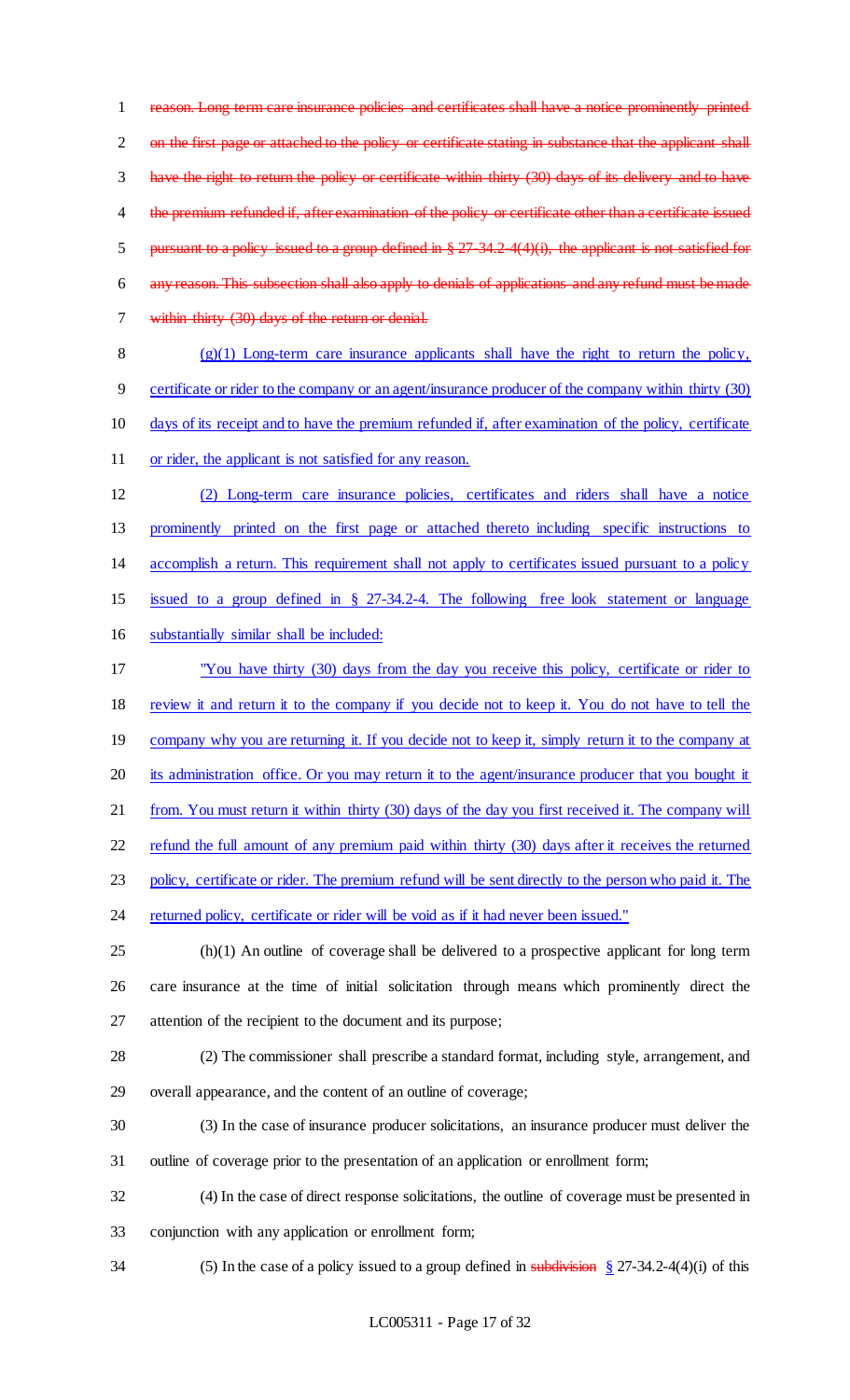reason. Long term care insurance policies and certificates shall have a notice prominently printed 2 on the first page or attached to the policy or certificate stating in substance that the applicant shall have the right to return the policy or certificate within thirty (30) days of its delivery and to have 4 the premium refunded if, after examination of the policy or certificate other than a certificate issued 5 pursuant to a policy issued to a group defined in § 27-34.2-4(4)(i), the applicant is not satisfied for any reason. This subsection shall also apply to denials of applications and any refund must be made within thirty (30) days of the return or denial.

8 (g) $(1)$  Long-term care insurance applicants shall have the right to return the policy, certificate or rider to the company or an agent/insurance producer of the company within thirty (30) days of its receipt and to have the premium refunded if, after examination of the policy, certificate or rider, the applicant is not satisfied for any reason.

 (2) Long-term care insurance policies, certificates and riders shall have a notice prominently printed on the first page or attached thereto including specific instructions to accomplish a return. This requirement shall not apply to certificates issued pursuant to a policy issued to a group defined in § 27-34.2-4. The following free look statement or language substantially similar shall be included:

 "You have thirty (30) days from the day you receive this policy, certificate or rider to review it and return it to the company if you decide not to keep it. You do not have to tell the 19 company why you are returning it. If you decide not to keep it, simply return it to the company at its administration office. Or you may return it to the agent/insurance producer that you bought it 21 from. You must return it within thirty (30) days of the day you first received it. The company will refund the full amount of any premium paid within thirty (30) days after it receives the returned 23 policy, certificate or rider. The premium refund will be sent directly to the person who paid it. The 24 returned policy, certificate or rider will be void as if it had never been issued."

 (h)(1) An outline of coverage shall be delivered to a prospective applicant for long term care insurance at the time of initial solicitation through means which prominently direct the attention of the recipient to the document and its purpose;

 (2) The commissioner shall prescribe a standard format, including style, arrangement, and overall appearance, and the content of an outline of coverage;

 (3) In the case of insurance producer solicitations, an insurance producer must deliver the outline of coverage prior to the presentation of an application or enrollment form;

(4) In the case of direct response solicitations, the outline of coverage must be presented in

conjunction with any application or enrollment form;

34 (5) In the case of a policy issued to a group defined in subdivision  $\frac{8}{3}$  27-34.2-4(4)(i) of this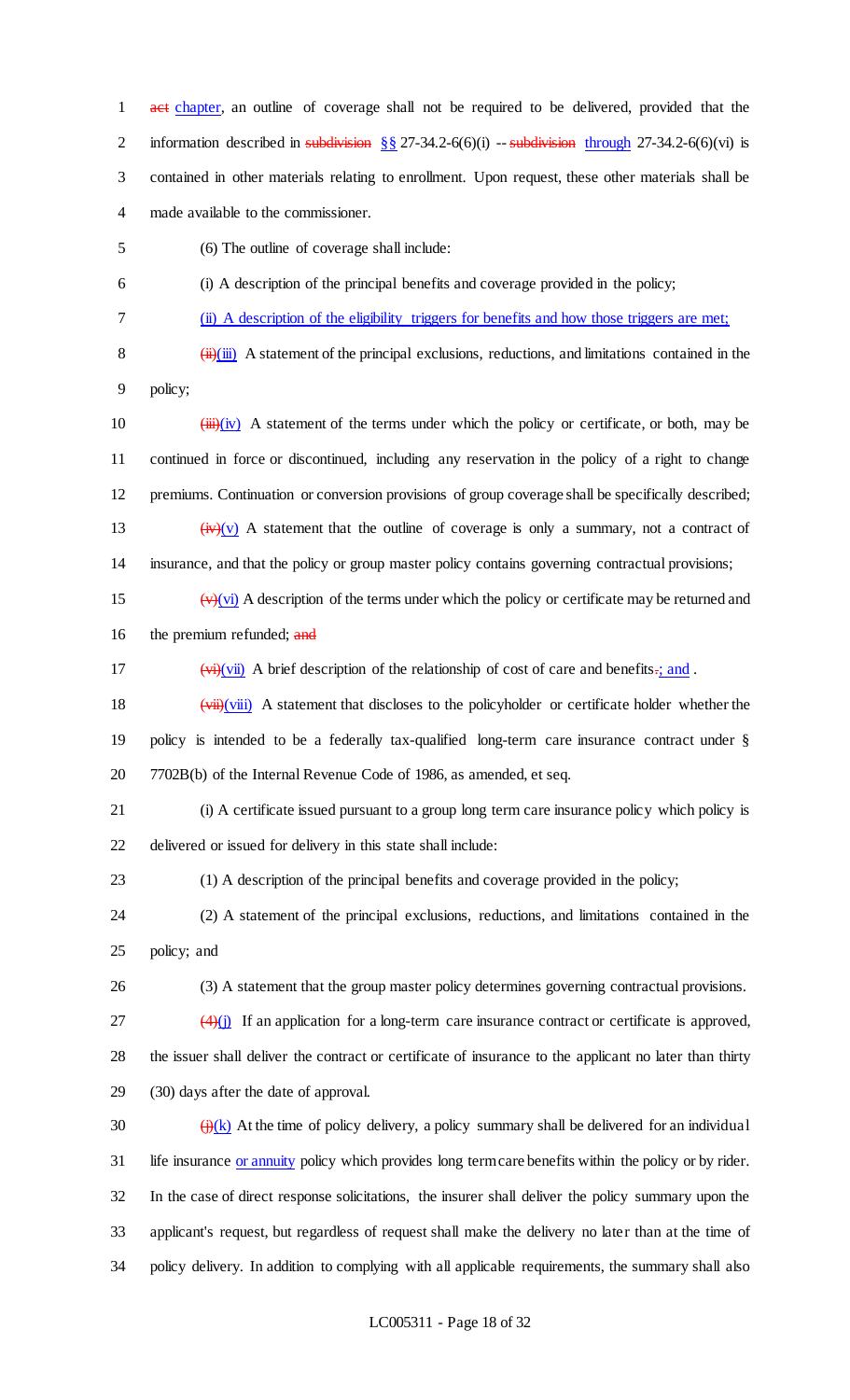1 act chapter, an outline of coverage shall not be required to be delivered, provided that the 2 information described in subdivision  $\S$  27-34.2-6(6)(i) -- subdivision through 27-34.2-6(6)(vi) is contained in other materials relating to enrollment. Upon request, these other materials shall be made available to the commissioner.

- (6) The outline of coverage shall include:
- (i) A description of the principal benefits and coverage provided in the policy;
- (ii) A description of the eligibility triggers for benefits and how those triggers are met;

8  $(iii)(iii)$  A statement of the principal exclusions, reductions, and limitations contained in the policy;

- 10  $(iii)(iv)$  A statement of the terms under which the policy or certificate, or both, may be continued in force or discontinued, including any reservation in the policy of a right to change premiums. Continuation or conversion provisions of group coverage shall be specifically described; 13  $(iv)(v)$  A statement that the outline of coverage is only a summary, not a contract of insurance, and that the policy or group master policy contains governing contractual provisions;
- 15  $(v)(vi)$  A description of the terms under which the policy or certificate may be returned and 16 the premium refunded; and
- 17 (vi)(vii) A brief description of the relationship of cost of care and benefits.; and .
- (vii)(viii) A statement that discloses to the policyholder or certificate holder whether the policy is intended to be a federally tax-qualified long-term care insurance contract under § 7702B(b) of the Internal Revenue Code of 1986, as amended, et seq.
- (i) A certificate issued pursuant to a group long term care insurance policy which policy is delivered or issued for delivery in this state shall include:
- (1) A description of the principal benefits and coverage provided in the policy;
- (2) A statement of the principal exclusions, reductions, and limitations contained in the policy; and
- (3) A statement that the group master policy determines governing contractual provisions.
- $\frac{(4)(i)}{i}$  If an application for a long-term care insurance contract or certificate is approved, the issuer shall deliver the contract or certificate of insurance to the applicant no later than thirty (30) days after the date of approval.
- 30  $\left(\frac{1}{10}(k)$  At the time of policy delivery, a policy summary shall be delivered for an individual 31 life insurance or annuity policy which provides long term care benefits within the policy or by rider. In the case of direct response solicitations, the insurer shall deliver the policy summary upon the applicant's request, but regardless of request shall make the delivery no later than at the time of policy delivery. In addition to complying with all applicable requirements, the summary shall also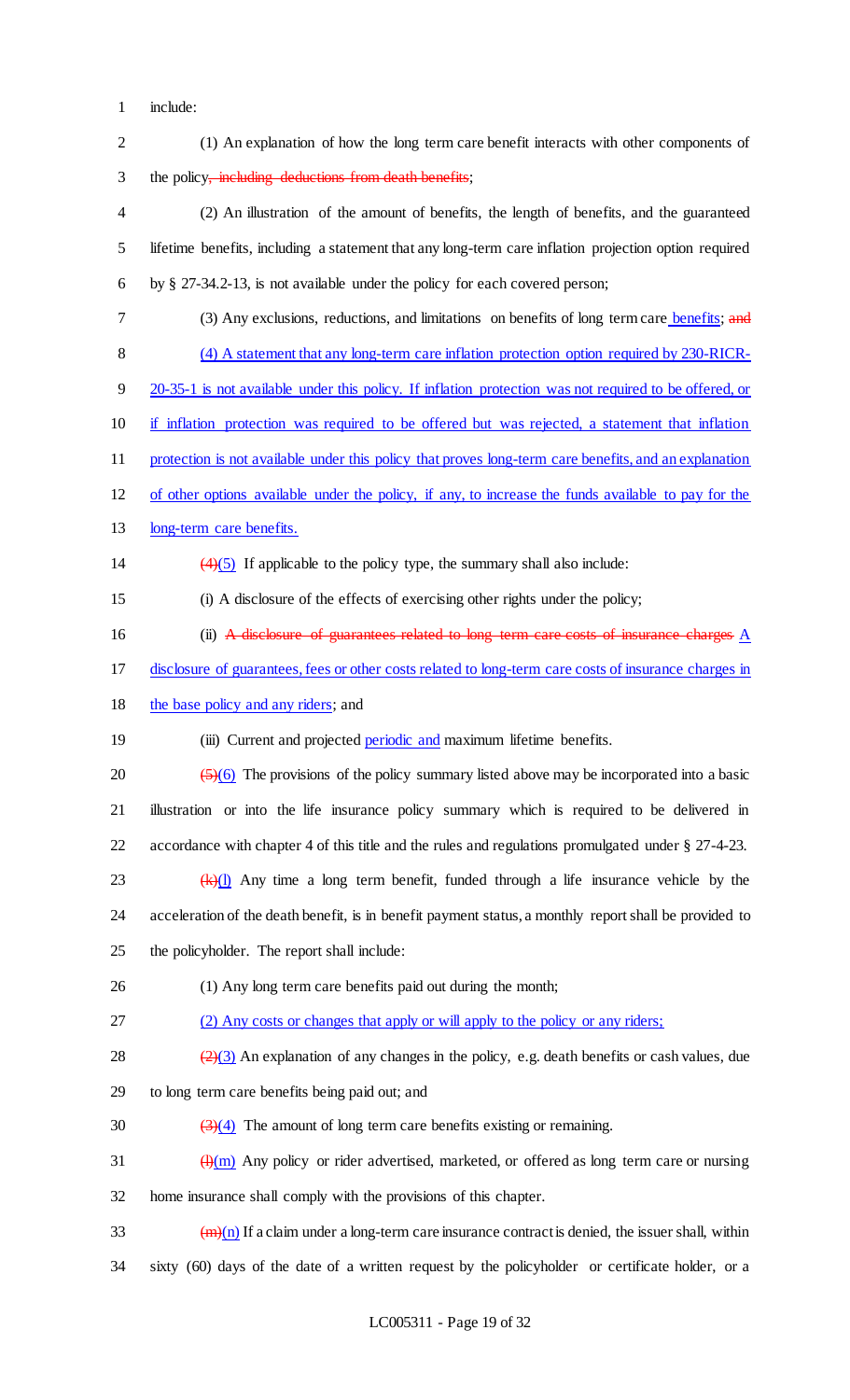- include:
- (1) An explanation of how the long term care benefit interacts with other components of 3 the policy, including deductions from death benefits; (2) An illustration of the amount of benefits, the length of benefits, and the guaranteed lifetime benefits, including a statement that any long-term care inflation projection option required by § 27-34.2-13, is not available under the policy for each covered person; 7 (3) Any exclusions, reductions, and limitations on benefits of long term care benefits; and (4) A statement that any long-term care inflation protection option required by 230-RICR- 20-35-1 is not available under this policy. If inflation protection was not required to be offered, or if inflation protection was required to be offered but was rejected, a statement that inflation protection is not available under this policy that proves long-term care benefits, and an explanation of other options available under the policy, if any, to increase the funds available to pay for the long-term care benefits. 14  $(4)(5)$  If applicable to the policy type, the summary shall also include: (i) A disclosure of the effects of exercising other rights under the policy; (ii) A disclosure of guarantees related to long term care costs of insurance charges A disclosure of guarantees, fees or other costs related to long-term care costs of insurance charges in 18 the base policy and any riders; and 19 (iii) Current and projected **periodic and maximum lifetime benefits.** 20  $\left(\frac{5}{6}\right)$  The provisions of the policy summary listed above may be incorporated into a basic illustration or into the life insurance policy summary which is required to be delivered in accordance with chapter 4 of this title and the rules and regulations promulgated under § 27-4-23. 23  $(k)(1)$  Any time a long term benefit, funded through a life insurance vehicle by the acceleration of the death benefit, is in benefit payment status, a monthly report shall be provided to the policyholder. The report shall include: (1) Any long term care benefits paid out during the month; (2) Any costs or changes that apply or will apply to the policy or any riders; 28  $\frac{(2)(3)}{2}$  An explanation of any changes in the policy, e.g. death benefits or cash values, due to long term care benefits being paid out; and 30  $\left(\frac{3}{4}\right)$  The amount of long term care benefits existing or remaining. 31  $\frac{(\mathrm{H})(\mathrm{m})}{(\mathrm{H})(\mathrm{m})}$  Any policy or rider advertised, marketed, or offered as long term care or nursing home insurance shall comply with the provisions of this chapter.  $\frac{1}{2}$  (m)(n) If a claim under a long-term care insurance contract is denied, the issuer shall, within sixty (60) days of the date of a written request by the policyholder or certificate holder, or a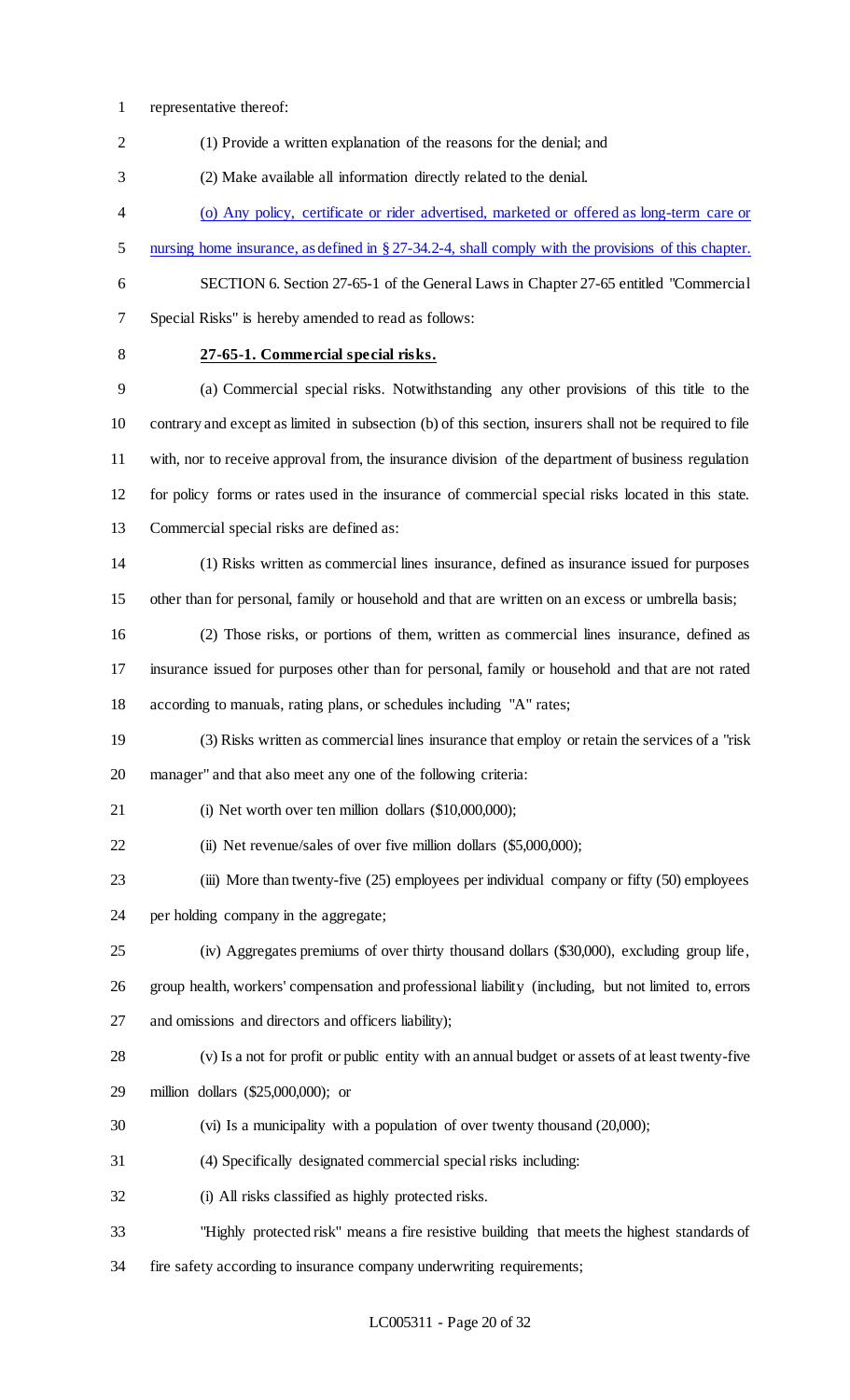- representative thereof:
- (1) Provide a written explanation of the reasons for the denial; and

(2) Make available all information directly related to the denial.

- (o) Any policy, certificate or rider advertised, marketed or offered as long-term care or
- 5 nursing home insurance, as defined in § 27-34.2-4, shall comply with the provisions of this chapter.
- 

 SECTION 6. Section 27-65-1 of the General Laws in Chapter 27-65 entitled "Commercial Special Risks" is hereby amended to read as follows:

### **27-65-1. Commercial special risks.**

 (a) Commercial special risks. Notwithstanding any other provisions of this title to the contrary and except as limited in subsection (b) of this section, insurers shall not be required to file with, nor to receive approval from, the insurance division of the department of business regulation for policy forms or rates used in the insurance of commercial special risks located in this state. Commercial special risks are defined as:

- (1) Risks written as commercial lines insurance, defined as insurance issued for purposes other than for personal, family or household and that are written on an excess or umbrella basis;
- (2) Those risks, or portions of them, written as commercial lines insurance, defined as insurance issued for purposes other than for personal, family or household and that are not rated according to manuals, rating plans, or schedules including "A" rates;
- (3) Risks written as commercial lines insurance that employ or retain the services of a "risk manager" and that also meet any one of the following criteria:
- 
- 21 (i) Net worth over ten million dollars (\$10,000,000);
- 22 (ii) Net revenue/sales of over five million dollars (\$5,000,000);
- (iii) More than twenty-five (25) employees per individual company or fifty (50) employees per holding company in the aggregate;
- (iv) Aggregates premiums of over thirty thousand dollars (\$30,000), excluding group life,
- group health, workers' compensation and professional liability (including, but not limited to, errors and omissions and directors and officers liability);
- (v) Is a not for profit or public entity with an annual budget or assets of at least twenty-five
- million dollars (\$25,000,000); or
- (vi) Is a municipality with a population of over twenty thousand (20,000);
- (4) Specifically designated commercial special risks including:
- (i) All risks classified as highly protected risks.
- "Highly protected risk" means a fire resistive building that meets the highest standards of
- fire safety according to insurance company underwriting requirements;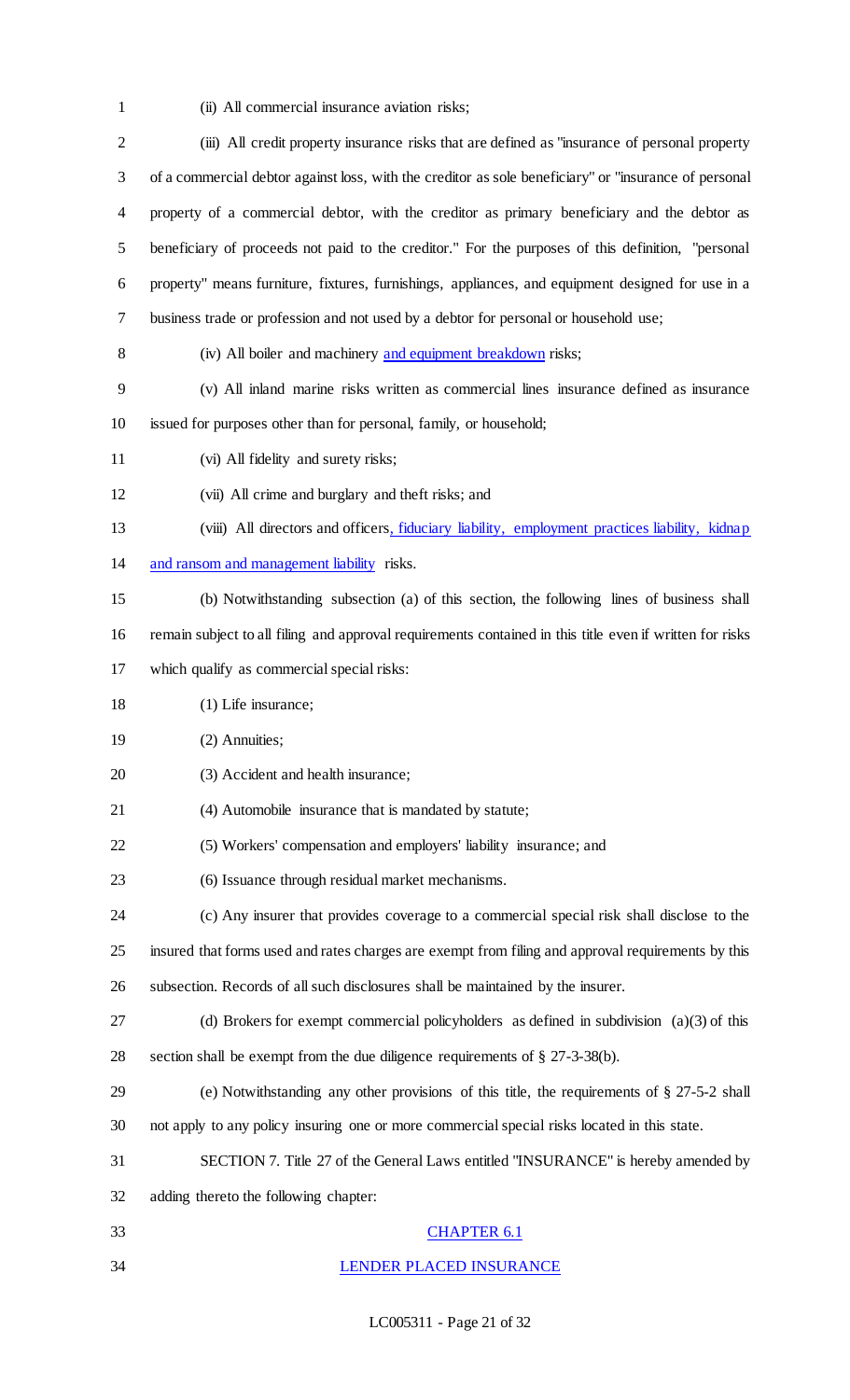(ii) All commercial insurance aviation risks;

| $\overline{2}$ | (iii) All credit property insurance risks that are defined as "insurance of personal property            |
|----------------|----------------------------------------------------------------------------------------------------------|
| 3              | of a commercial debtor against loss, with the creditor as sole beneficiary" or "insurance of personal    |
| 4              | property of a commercial debtor, with the creditor as primary beneficiary and the debtor as              |
| 5              | beneficiary of proceeds not paid to the creditor." For the purposes of this definition, "personal        |
| 6              | property" means furniture, fixtures, furnishings, appliances, and equipment designed for use in a        |
| 7              | business trade or profession and not used by a debtor for personal or household use;                     |
| 8              | (iv) All boiler and machinery and equipment breakdown risks;                                             |
| 9              | (v) All inland marine risks written as commercial lines insurance defined as insurance                   |
| 10             | issued for purposes other than for personal, family, or household;                                       |
| 11             | (vi) All fidelity and surety risks;                                                                      |
| 12             | (vii) All crime and burglary and theft risks; and                                                        |
| 13             | (viii) All directors and officers, fiduciary liability, employment practices liability, kidnap           |
| 14             | and ransom and management liability risks.                                                               |
| 15             | (b) Notwithstanding subsection (a) of this section, the following lines of business shall                |
| 16             | remain subject to all filing and approval requirements contained in this title even if written for risks |
| 17             | which qualify as commercial special risks:                                                               |
| 18             | $(1)$ Life insurance;                                                                                    |
| 19             | (2) Annuities;                                                                                           |
| 20             | (3) Accident and health insurance;                                                                       |
| 21             | (4) Automobile insurance that is mandated by statute;                                                    |
| 22             | (5) Workers' compensation and employers' liability insurance; and                                        |
| 23             | (6) Issuance through residual market mechanisms.                                                         |
| 24             | (c) Any insurer that provides coverage to a commercial special risk shall disclose to the                |
| 25             | insured that forms used and rates charges are exempt from filing and approval requirements by this       |
| 26             | subsection. Records of all such disclosures shall be maintained by the insurer.                          |
| 27             | (d) Brokers for exempt commercial policyholders as defined in subdivision $(a)(3)$ of this               |
| 28             | section shall be exempt from the due diligence requirements of § 27-3-38(b).                             |
| 29             | (e) Notwithstanding any other provisions of this title, the requirements of § 27-5-2 shall               |
| 30             | not apply to any policy insuring one or more commercial special risks located in this state.             |
| 31             | SECTION 7. Title 27 of the General Laws entitled "INSURANCE" is hereby amended by                        |
| 32             | adding thereto the following chapter:                                                                    |
| 33             | <b>CHAPTER 6.1</b>                                                                                       |
| 34             | LENDER PLACED INSURANCE                                                                                  |

LC005311 - Page 21 of 32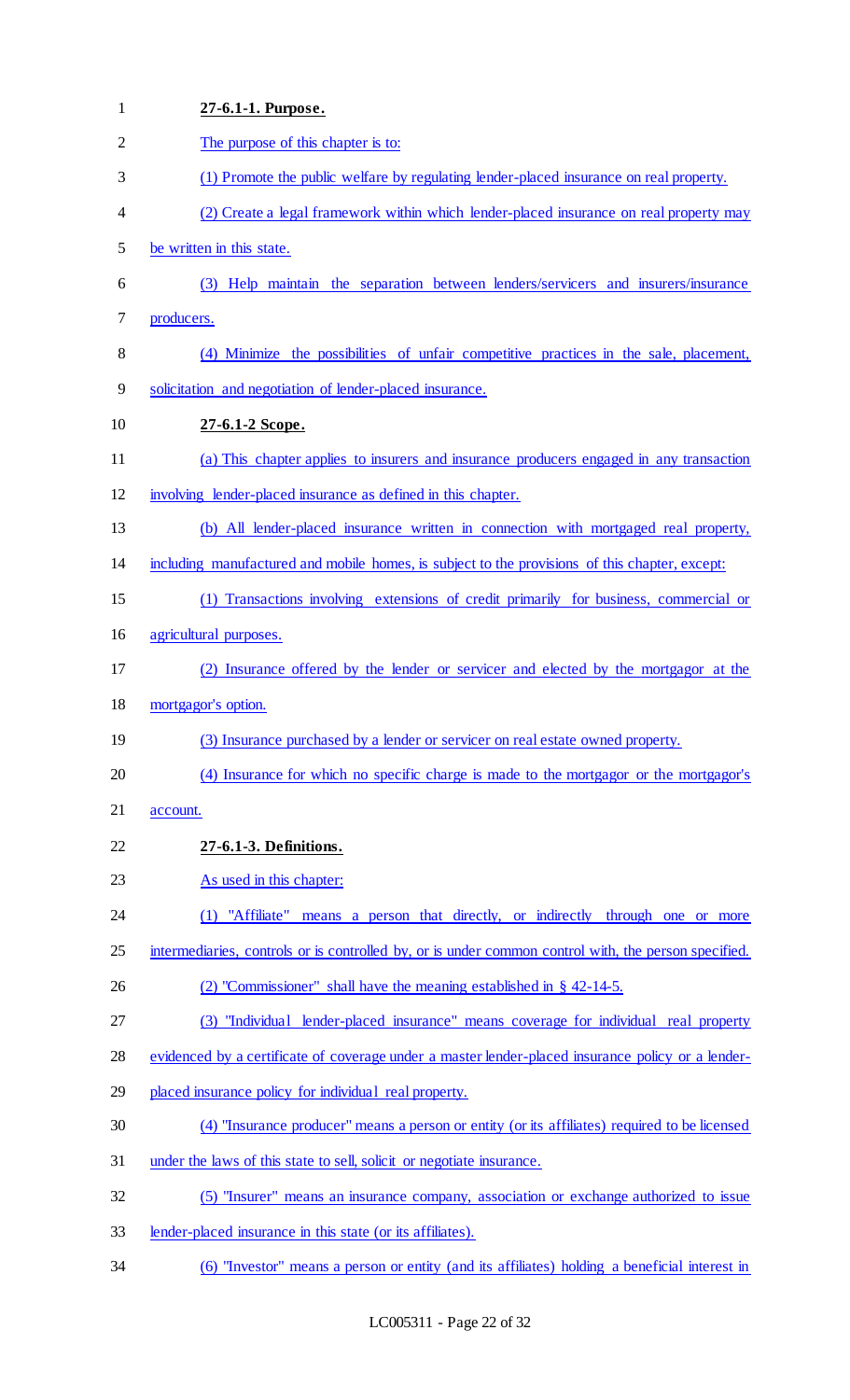| $\mathbf{1}$   | 27-6.1-1. Purpose.                                                                                   |
|----------------|------------------------------------------------------------------------------------------------------|
| $\overline{2}$ | The purpose of this chapter is to:                                                                   |
| 3              | (1) Promote the public welfare by regulating lender-placed insurance on real property.               |
| 4              | (2) Create a legal framework within which lender-placed insurance on real property may               |
| 5              | be written in this state.                                                                            |
| 6              | (3) Help maintain the separation between lenders/servicers and insurers/insurance                    |
| 7              | producers.                                                                                           |
| 8              | (4) Minimize the possibilities of unfair competitive practices in the sale, placement,               |
| 9              | solicitation and negotiation of lender-placed insurance.                                             |
| 10             | 27-6.1-2 Scope.                                                                                      |
| 11             | (a) This chapter applies to insurers and insurance producers engaged in any transaction              |
| 12             | involving lender-placed insurance as defined in this chapter.                                        |
| 13             | (b) All lender-placed insurance written in connection with mortgaged real property,                  |
| 14             | including manufactured and mobile homes, is subject to the provisions of this chapter, except:       |
| 15             | (1) Transactions involving extensions of credit primarily for business, commercial or                |
| 16             | agricultural purposes.                                                                               |
| 17             | (2) Insurance offered by the lender or servicer and elected by the mortgagor at the                  |
| 18             | mortgagor's option.                                                                                  |
| 19             | (3) Insurance purchased by a lender or servicer on real estate owned property.                       |
| 20             | (4) Insurance for which no specific charge is made to the mortgagor or the mortgagor's               |
| 21             | account.                                                                                             |
| 22             | 27-6.1-3. Definitions.                                                                               |
| 23             | As used in this chapter:                                                                             |
| 24             | (1) "Affiliate" means a person that directly, or indirectly through one or more                      |
| 25             | intermediaries, controls or is controlled by, or is under common control with, the person specified. |
| 26             | (2) "Commissioner" shall have the meaning established in $\S$ 42-14-5.                               |
| 27             | (3) "Individual lender-placed insurance" means coverage for individual real property                 |
| 28             | evidenced by a certificate of coverage under a master lender-placed insurance policy or a lender-    |
| 29             | placed insurance policy for individual real property.                                                |
| 30             | (4) "Insurance producer" means a person or entity (or its affiliates) required to be licensed        |
| 31             | under the laws of this state to sell, solicit or negotiate insurance.                                |
| 32             | (5) "Insurer" means an insurance company, association or exchange authorized to issue                |
| 33             | lender-placed insurance in this state (or its affiliates).                                           |
| 34             | (6) "Investor" means a person or entity (and its affiliates) holding a beneficial interest in        |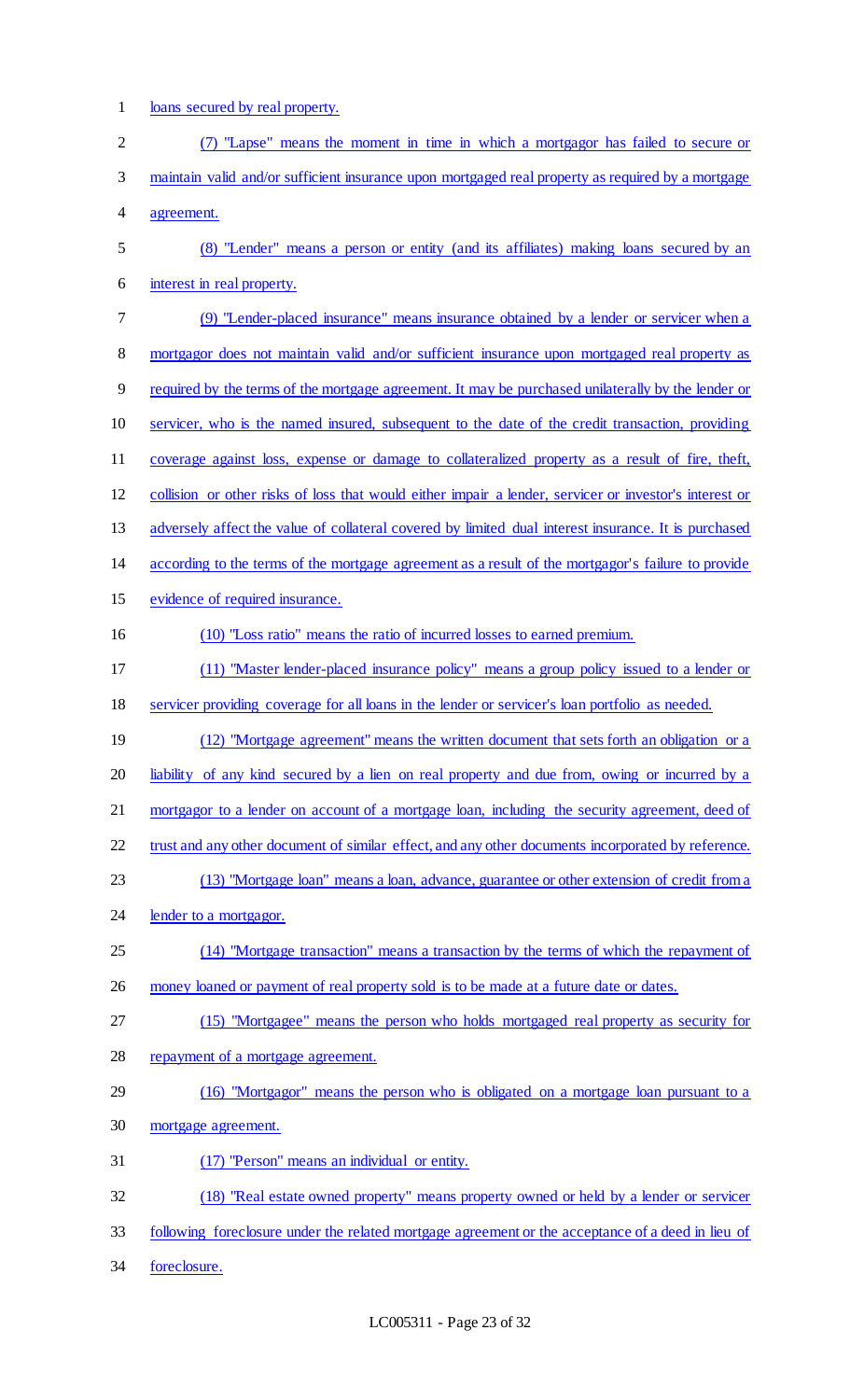1 loans secured by real property.

| $\overline{c}$ | (7) "Lapse" means the moment in time in which a mortgagor has failed to secure or                      |
|----------------|--------------------------------------------------------------------------------------------------------|
| 3              | maintain valid and/or sufficient insurance upon mortgaged real property as required by a mortgage      |
| 4              | agreement.                                                                                             |
| 5              | (8) "Lender" means a person or entity (and its affiliates) making loans secured by an                  |
| 6              | interest in real property.                                                                             |
| 7              | (9) "Lender-placed insurance" means insurance obtained by a lender or servicer when a                  |
| 8              | mortgagor does not maintain valid and/or sufficient insurance upon mortgaged real property as          |
| 9              | required by the terms of the mortgage agreement. It may be purchased unilaterally by the lender or     |
| 10             | servicer, who is the named insured, subsequent to the date of the credit transaction, providing        |
| 11             | coverage against loss, expense or damage to collateralized property as a result of fire, theft,        |
| 12             | collision or other risks of loss that would either impair a lender, servicer or investor's interest or |
| 13             | adversely affect the value of collateral covered by limited dual interest insurance. It is purchased   |
| 14             | according to the terms of the mortgage agreement as a result of the mortgagor's failure to provide     |
| 15             | evidence of required insurance.                                                                        |
| 16             | (10) "Loss ratio" means the ratio of incurred losses to earned premium.                                |
| 17             | (11) "Master lender-placed insurance policy" means a group policy issued to a lender or                |
| 18             | servicer providing coverage for all loans in the lender or servicer's loan portfolio as needed.        |
| 19             | (12) "Mortgage agreement" means the written document that sets forth an obligation or a                |
| 20             | liability of any kind secured by a lien on real property and due from, owing or incurred by a          |
| 21             | mortgagor to a lender on account of a mortgage loan, including the security agreement, deed of         |
| 22             | trust and any other document of similar effect, and any other documents incorporated by reference.     |
| 23             | (13) "Mortgage loan" means a loan, advance, guarantee or other extension of credit from a              |
| 24             | lender to a mortgagor.                                                                                 |
| 25             | (14) "Mortgage transaction" means a transaction by the terms of which the repayment of                 |
| 26             | money loaned or payment of real property sold is to be made at a future date or dates.                 |
| 27             | (15) "Mortgagee" means the person who holds mortgaged real property as security for                    |
| 28             | repayment of a mortgage agreement.                                                                     |
| 29             | (16) "Mortgagor" means the person who is obligated on a mortgage loan pursuant to a                    |
| 30             | mortgage agreement.                                                                                    |
| 31             | (17) "Person" means an individual or entity.                                                           |
| 32             | (18) "Real estate owned property" means property owned or held by a lender or servicer                 |
| 33             | following foreclosure under the related mortgage agreement or the acceptance of a deed in lieu of      |
| 34             | foreclosure.                                                                                           |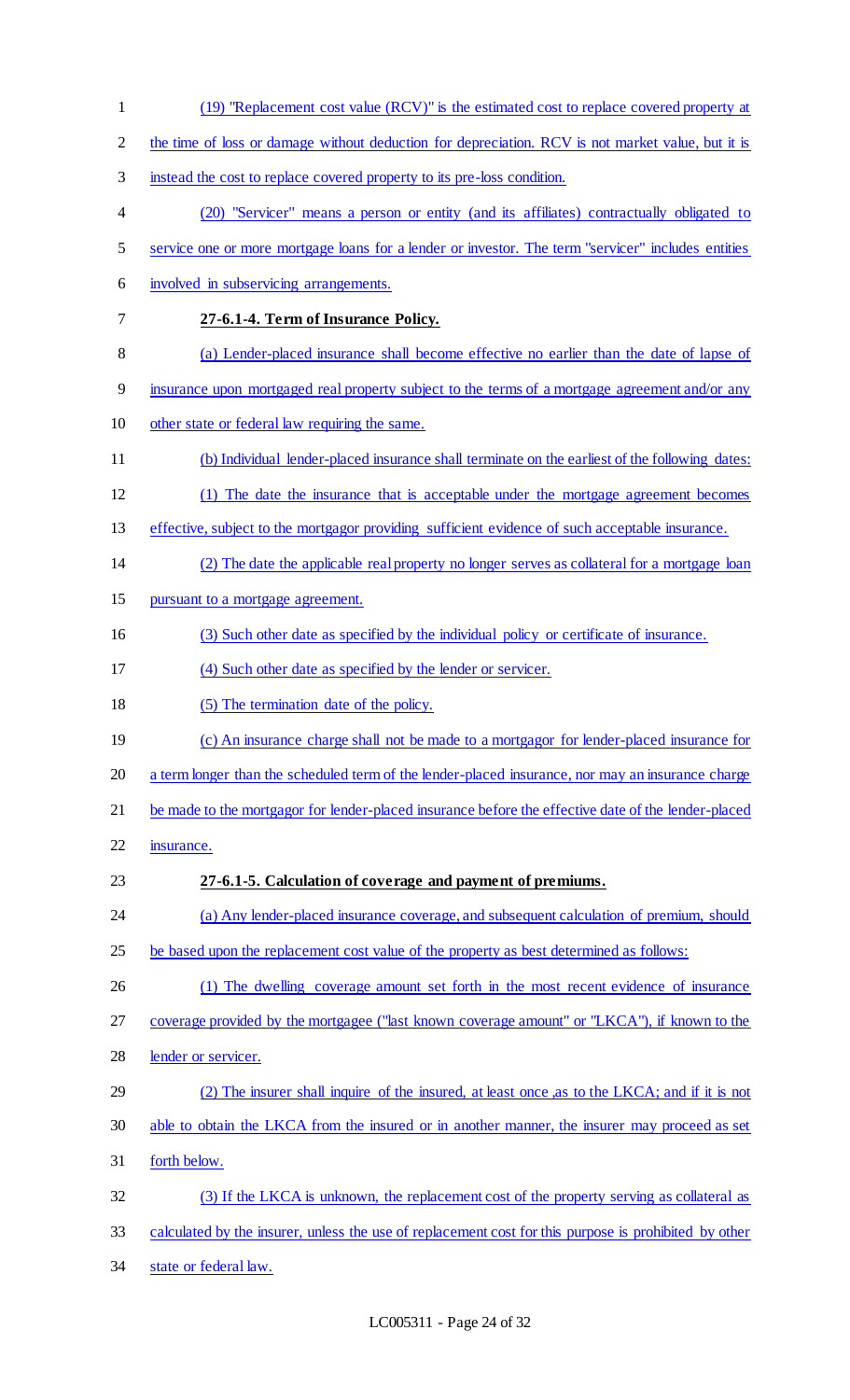| $\mathbf{1}$   | (19) "Replacement cost value (RCV)" is the estimated cost to replace covered property at              |
|----------------|-------------------------------------------------------------------------------------------------------|
| $\overline{2}$ | the time of loss or damage without deduction for depreciation. RCV is not market value, but it is     |
| 3              | instead the cost to replace covered property to its pre-loss condition.                               |
| 4              | (20) "Servicer" means a person or entity (and its affiliates) contractually obligated to              |
| 5              | service one or more mortgage loans for a lender or investor. The term "servicer" includes entities    |
| 6              | involved in subservicing arrangements.                                                                |
| 7              | 27-6.1-4. Term of Insurance Policy.                                                                   |
| 8              | (a) Lender-placed insurance shall become effective no earlier than the date of lapse of               |
| 9              | insurance upon mortgaged real property subject to the terms of a mortgage agreement and/or any        |
| 10             | other state or federal law requiring the same.                                                        |
| 11             | (b) Individual lender-placed insurance shall terminate on the earliest of the following dates:        |
| 12             | (1) The date the insurance that is acceptable under the mortgage agreement becomes                    |
| 13             | effective, subject to the mortgagor providing sufficient evidence of such acceptable insurance.       |
| 14             | (2) The date the applicable real property no longer serves as collateral for a mortgage loan          |
| 15             | pursuant to a mortgage agreement.                                                                     |
| 16             | (3) Such other date as specified by the individual policy or certificate of insurance.                |
| 17             | (4) Such other date as specified by the lender or servicer.                                           |
| 18             | (5) The termination date of the policy.                                                               |
| 19             | (c) An insurance charge shall not be made to a mortgagor for lender-placed insurance for              |
| 20             | a term longer than the scheduled term of the lender-placed insurance, nor may an insurance charge     |
| 21             | be made to the mortgagor for lender-placed insurance before the effective date of the lender-placed   |
| 22             | insurance.                                                                                            |
| 23             | 27-6.1-5. Calculation of coverage and payment of premiums.                                            |
| 24             | (a) Any lender-placed insurance coverage, and subsequent calculation of premium, should               |
| 25             | be based upon the replacement cost value of the property as best determined as follows:               |
| 26             | (1) The dwelling coverage amount set forth in the most recent evidence of insurance                   |
| 27             | coverage provided by the mortgagee ("last known coverage amount" or "LKCA"), if known to the          |
| 28             | lender or servicer.                                                                                   |
| 29             | (2) The insurer shall inquire of the insured, at least once, as to the LKCA; and if it is not         |
| 30             | able to obtain the LKCA from the insured or in another manner, the insurer may proceed as set         |
| 31             | forth below.                                                                                          |
| 32             | (3) If the LKCA is unknown, the replacement cost of the property serving as collateral as             |
| 33             | calculated by the insurer, unless the use of replacement cost for this purpose is prohibited by other |
| 34             | state or federal law.                                                                                 |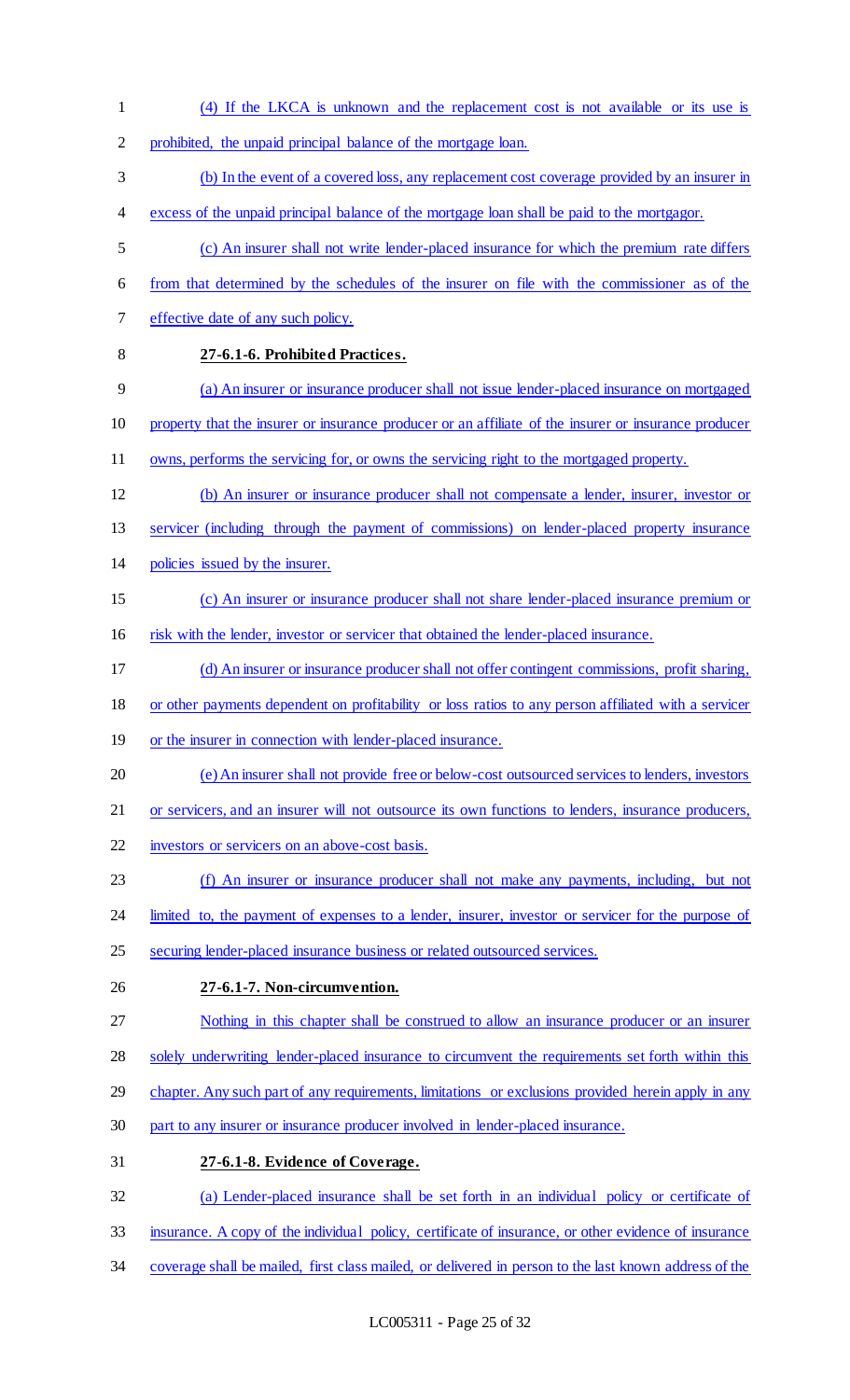(4) If the LKCA is unknown and the replacement cost is not available or its use is prohibited, the unpaid principal balance of the mortgage loan. (b) In the event of a covered loss, any replacement cost coverage provided by an insurer in excess of the unpaid principal balance of the mortgage loan shall be paid to the mortgagor. (c) An insurer shall not write lender-placed insurance for which the premium rate differs from that determined by the schedules of the insurer on file with the commissioner as of the effective date of any such policy. **27-6.1-6. Prohibited Practices.** (a) An insurer or insurance producer shall not issue lender-placed insurance on mortgaged property that the insurer or insurance producer or an affiliate of the insurer or insurance producer owns, performs the servicing for, or owns the servicing right to the mortgaged property. (b) An insurer or insurance producer shall not compensate a lender, insurer, investor or servicer (including through the payment of commissions) on lender-placed property insurance policies issued by the insurer. (c) An insurer or insurance producer shall not share lender-placed insurance premium or risk with the lender, investor or servicer that obtained the lender-placed insurance. (d) An insurer or insurance producer shall not offer contingent commissions, profit sharing, or other payments dependent on profitability or loss ratios to any person affiliated with a servicer or the insurer in connection with lender-placed insurance. (e) An insurer shall not provide free or below-cost outsourced services to lenders, investors or servicers, and an insurer will not outsource its own functions to lenders, insurance producers, investors or servicers on an above-cost basis. (f) An insurer or insurance producer shall not make any payments, including, but not 24 limited to, the payment of expenses to a lender, insurer, investor or servicer for the purpose of securing lender-placed insurance business or related outsourced services. **27-6.1-7. Non-circumvention.** Nothing in this chapter shall be construed to allow an insurance producer or an insurer 28 solely underwriting lender-placed insurance to circumvent the requirements set forth within this 29 chapter. Any such part of any requirements, limitations or exclusions provided herein apply in any part to any insurer or insurance producer involved in lender-placed insurance. **27-6.1-8. Evidence of Coverage.** (a) Lender-placed insurance shall be set forth in an individual policy or certificate of insurance. A copy of the individual policy, certificate of insurance, or other evidence of insurance coverage shall be mailed, first class mailed, or delivered in person to the last known address of the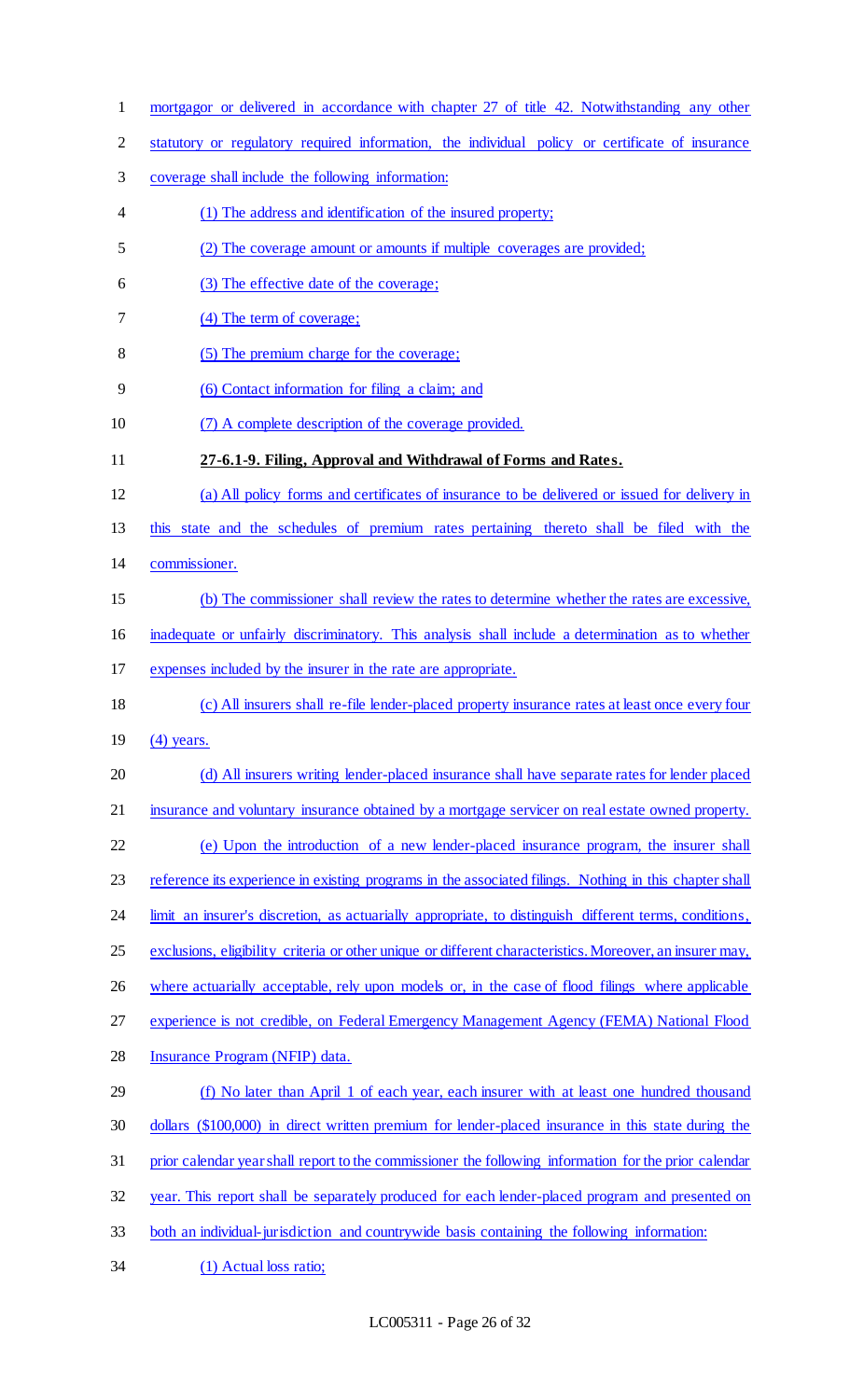- mortgagor or delivered in accordance with chapter 27 of title 42. Notwithstanding any other
- statutory or regulatory required information, the individual policy or certificate of insurance
- coverage shall include the following information:
- (1) The address and identification of the insured property;
- (2) The coverage amount or amounts if multiple coverages are provided;
- (3) The effective date of the coverage;
- (4) The term of coverage;
- (5) The premium charge for the coverage;
- (6) Contact information for filing a claim; and
- (7) A complete description of the coverage provided.
- **27-6.1-9. Filing, Approval and Withdrawal of Forms and Rates.**
- (a) All policy forms and certificates of insurance to be delivered or issued for delivery in
- this state and the schedules of premium rates pertaining thereto shall be filed with the
- commissioner.
- (b) The commissioner shall review the rates to determine whether the rates are excessive,
- inadequate or unfairly discriminatory. This analysis shall include a determination as to whether
- expenses included by the insurer in the rate are appropriate.
- (c) All insurers shall re-file lender-placed property insurance rates at least once every four
- (4) years.
- (d) All insurers writing lender-placed insurance shall have separate rates for lender placed
- 21 insurance and voluntary insurance obtained by a mortgage servicer on real estate owned property.
- (e) Upon the introduction of a new lender-placed insurance program, the insurer shall
- 23 reference its experience in existing programs in the associated filings. Nothing in this chapter shall
- 24 limit an insurer's discretion, as actuarially appropriate, to distinguish different terms, conditions,
- exclusions, eligibility criteria or other unique or different characteristics. Moreover, an insurer may,
- 26 where actuarially acceptable, rely upon models or, in the case of flood filings where applicable
- experience is not credible, on Federal Emergency Management Agency (FEMA) National Flood
- Insurance Program (NFIP) data.
- (f) No later than April 1 of each year, each insurer with at least one hundred thousand dollars (\$100,000) in direct written premium for lender-placed insurance in this state during the prior calendar year shall report to the commissioner the following information for the prior calendar year. This report shall be separately produced for each lender-placed program and presented on
- both an individual-jurisdiction and countrywide basis containing the following information:
- (1) Actual loss ratio;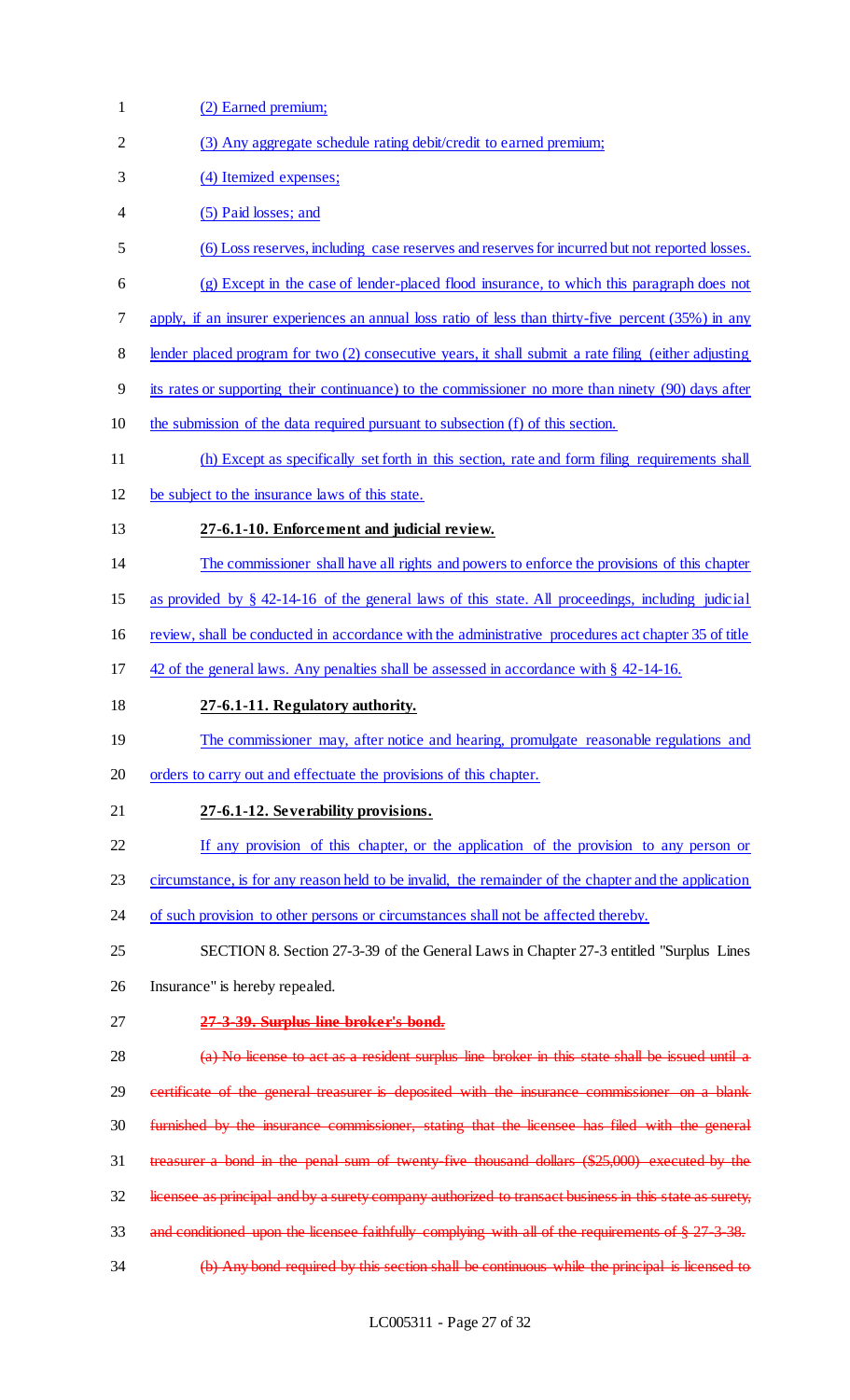| $\mathbf{1}$   | (2) Earned premium;                                                                                    |
|----------------|--------------------------------------------------------------------------------------------------------|
| $\overline{2}$ | (3) Any aggregate schedule rating debit/credit to earned premium;                                      |
| 3              | (4) Itemized expenses;                                                                                 |
| 4              | (5) Paid losses; and                                                                                   |
| 5              | (6) Loss reserves, including case reserves and reserves for incurred but not reported losses.          |
| 6              | (g) Except in the case of lender-placed flood insurance, to which this paragraph does not              |
| 7              | apply, if an insurer experiences an annual loss ratio of less than thirty-five percent (35%) in any    |
| 8              | lender placed program for two (2) consecutive years, it shall submit a rate filing (either adjusting   |
| 9              | its rates or supporting their continuance) to the commissioner no more than ninety (90) days after     |
| 10             | the submission of the data required pursuant to subsection (f) of this section.                        |
| 11             | (h) Except as specifically set forth in this section, rate and form filing requirements shall          |
| 12             | be subject to the insurance laws of this state.                                                        |
| 13             | 27-6.1-10. Enforcement and judicial review.                                                            |
| 14             | The commissioner shall have all rights and powers to enforce the provisions of this chapter            |
| 15             | as provided by $\S$ 42-14-16 of the general laws of this state. All proceedings, including judicial    |
| 16             | review, shall be conducted in accordance with the administrative procedures act chapter 35 of title    |
| 17             | 42 of the general laws. Any penalties shall be assessed in accordance with § 42-14-16.                 |
| 18             | 27-6.1-11. Regulatory authority.                                                                       |
| 19             | The commissioner may, after notice and hearing, promulgate reasonable regulations and                  |
| 20             | orders to carry out and effectuate the provisions of this chapter.                                     |
| 21             | 27-6.1-12. Severability provisions.                                                                    |
| 22             | If any provision of this chapter, or the application of the provision to any person or                 |
| 23             | circumstance, is for any reason held to be invalid, the remainder of the chapter and the application   |
| 24             | of such provision to other persons or circumstances shall not be affected thereby.                     |
| 25             | SECTION 8. Section 27-3-39 of the General Laws in Chapter 27-3 entitled "Surplus Lines"                |
| 26             | Insurance" is hereby repealed.                                                                         |
| 27             | 27-3-39. Surplus line broker's bond.                                                                   |
| 28             | (a) No license to act as a resident surplus line broker in this state shall be issued until a          |
| 29             | certificate of the general treasurer is deposited with the insurance commissioner on a blank           |
| 30             | furnished by the insurance commissioner, stating that the licensee has filed with the general          |
| 31             | treasurer a bond in the penal sum of twenty five thousand dollars (\$25,000) executed by the           |
| 32             | licensee as principal and by a surety company authorized to transact business in this state as surety, |
| 33             | and conditioned upon the licensee faithfully complying with all of the requirements of $\S 27-3-38$ .  |
| 34             | (b) Any bond required by this section shall be continuous while the principal is licensed to           |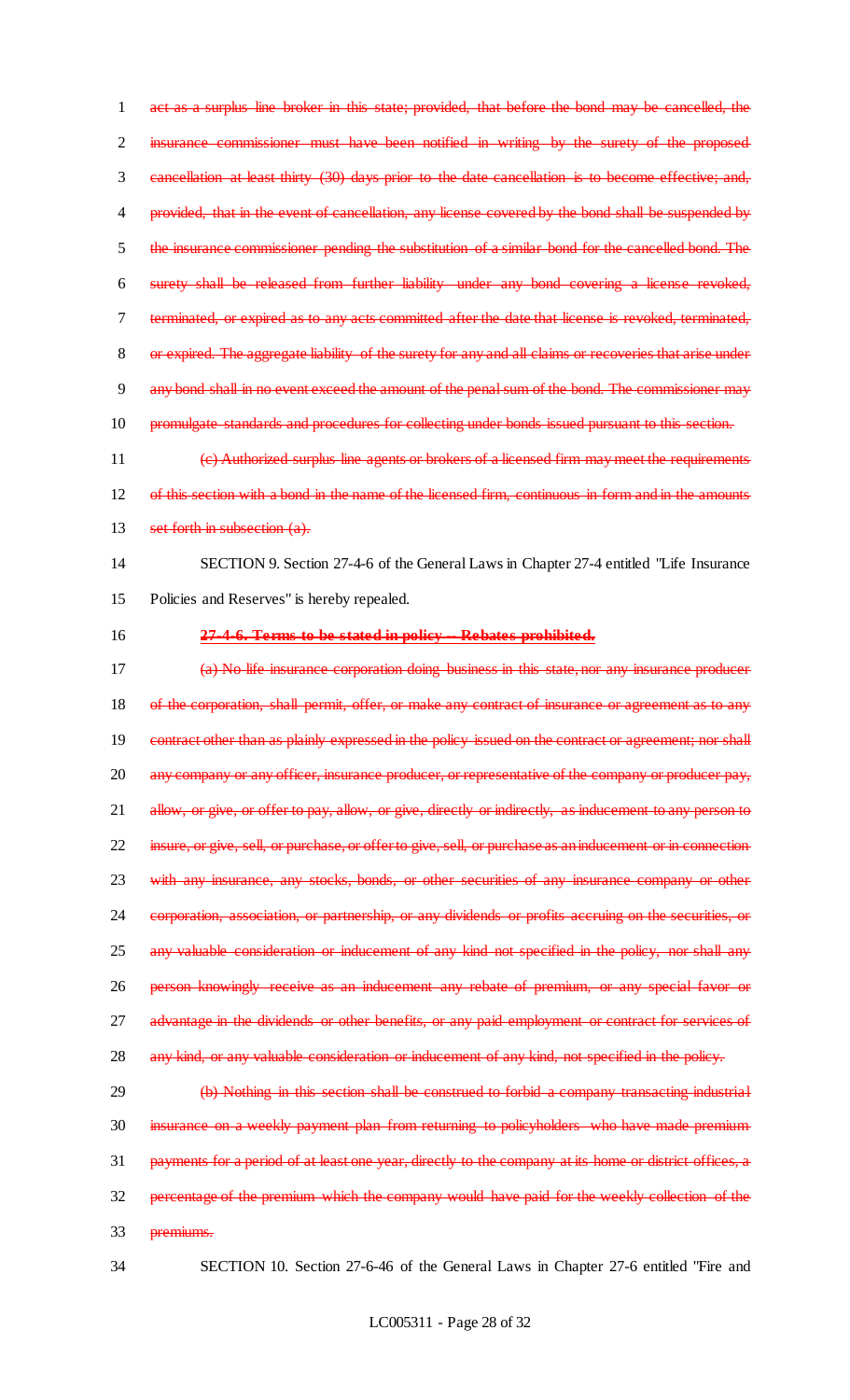act as a surplus line broker in this state; provided, that before the bond may be cancelled, the insurance commissioner must have been notified in writing by the surety of the proposed cancellation at least thirty (30) days prior to the date cancellation is to become effective; and, 4 provided, that in the event of cancellation, any license covered by the bond shall be suspended by the insurance commissioner pending the substitution of a similar bond for the cancelled bond. The surety shall be released from further liability under any bond covering a license revoked, terminated, or expired as to any acts committed after the date that license is revoked, terminated, 8 or expired. The aggregate liability of the surety for any and all claims or recoveries that arise under any bond shall in no event exceed the amount of the penal sum of the bond. The commissioner may 10 promulgate standards and procedures for collecting under bonds issued pursuant to this section.

11 (c) Authorized surplus line agents or brokers of a licensed firm may meet the requirements 12 of this section with a bond in the name of the licensed firm, continuous in form and in the amounts 13 set forth in subsection (a).

# 14 SECTION 9. Section 27-4-6 of the General Laws in Chapter 27-4 entitled "Life Insurance 15 Policies and Reserves" is hereby repealed.

- 
- 

# 16 **27-4-6. Terms to be stated in policy -- Rebates prohibited.**

17 (a) No life insurance corporation doing business in this state, nor any insurance producer 18 of the corporation, shall permit, offer, or make any contract of insurance or agreement as to any 19 contract other than as plainly expressed in the policy issued on the contract or agreement; nor shall 20 any company or any officer, insurance producer, or representative of the company or producer pay, 21 allow, or give, or offer to pay, allow, or give, directly or indirectly, as inducement to any person to 22 insure, or give, sell, or purchase, or offer to give, sell, or purchase as an inducement or in connection 23 with any insurance, any stocks, bonds, or other securities of any insurance company or other 24 corporation, association, or partnership, or any dividends or profits accruing on the securities, or 25 any valuable consideration or inducement of any kind not specified in the policy, nor shall any 26 person knowingly receive as an inducement any rebate of premium, or any special favor or 27 advantage in the dividends or other benefits, or any paid employment or contract for services of 28 any kind, or any valuable consideration or inducement of any kind, not specified in the policy.

# 29 (b) Nothing in this section shall be construed to forbid a company transacting industrial 30 insurance on a weekly payment plan from returning to policyholders who have made premium 31 payments for a period of at least one year, directly to the company at its home or district offices, a 32 percentage of the premium which the company would have paid for the weekly collection of the 33 premiums.

34 SECTION 10. Section 27-6-46 of the General Laws in Chapter 27-6 entitled "Fire and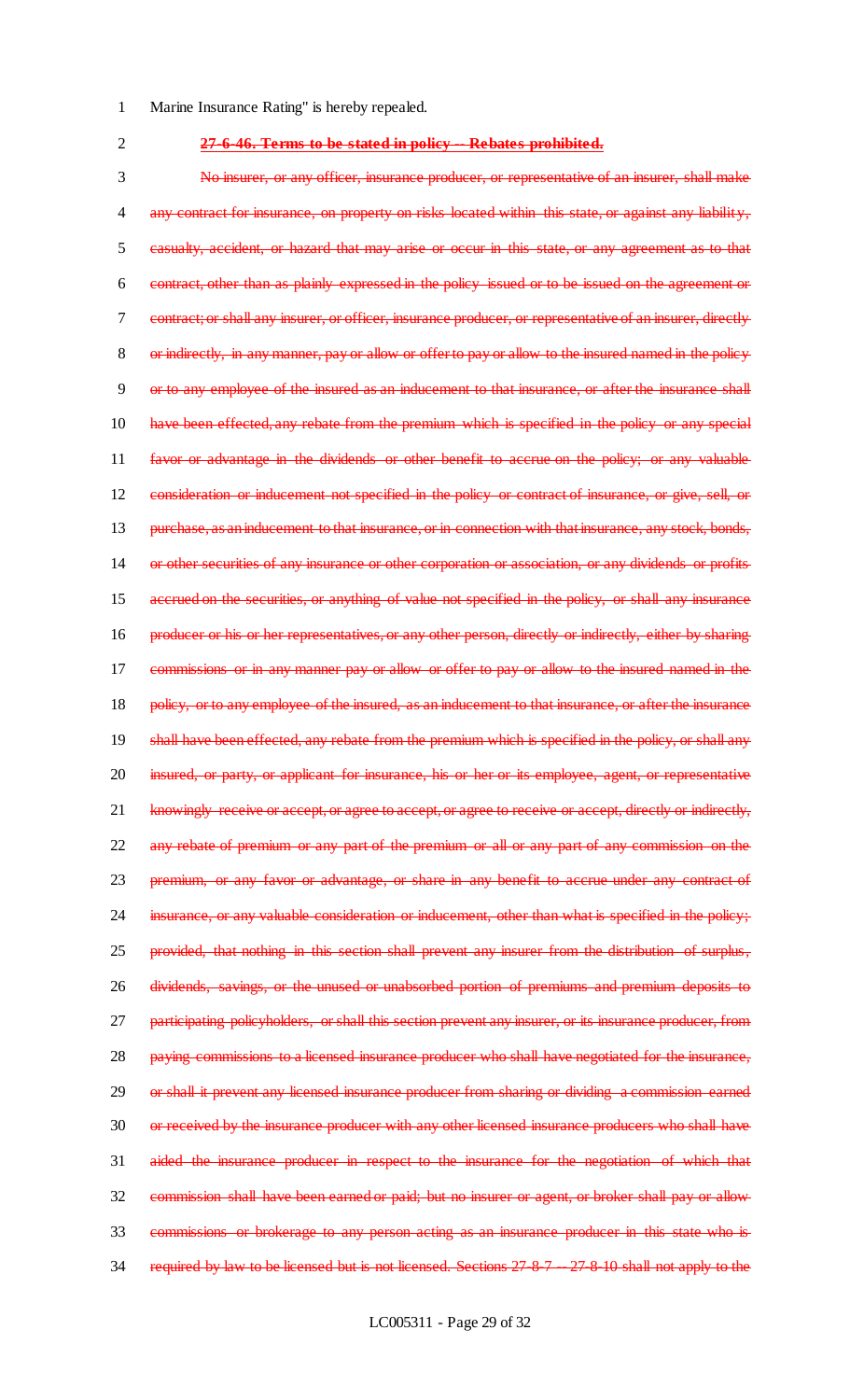- Marine Insurance Rating" is hereby repealed.
- 
- **27-6-46. Terms to be stated in policy -- Rebates prohibited.**

 No insurer, or any officer, insurance producer, or representative of an insurer, shall make 4 any contract for insurance, on property on risks located within this state, or against any liability, casualty, accident, or hazard that may arise or occur in this state, or any agreement as to that contract, other than as plainly expressed in the policy issued or to be issued on the agreement or contract; or shall any insurer, or officer, insurance producer, or representative of an insurer, directly or indirectly, in any manner, pay or allow or offer to pay or allow to the insured named in the policy or to any employee of the insured as an inducement to that insurance, or after the insurance shall have been effected, any rebate from the premium which is specified in the policy or any special favor or advantage in the dividends or other benefit to accrue on the policy; or any valuable consideration or inducement not specified in the policy or contract of insurance, or give, sell, or 13 purchase, as an inducement to that insurance, or in connection with that insurance, any stock, bonds, or other securities of any insurance or other corporation or association, or any dividends or profits accrued on the securities, or anything of value not specified in the policy, or shall any insurance 16 producer or his or her representatives, or any other person, directly or indirectly, either by sharing commissions or in any manner pay or allow or offer to pay or allow to the insured named in the 18 policy, or to any employee of the insured, as an inducement to that insurance, or after the insurance shall have been effected, any rebate from the premium which is specified in the policy, or shall any 20 insured, or party, or applicant for insurance, his or her or its employee, agent, or representative 21 knowingly receive or accept, or agree to accept, or agree to receive or accept, directly or indirectly, any rebate of premium or any part of the premium or all or any part of any commission on the premium, or any favor or advantage, or share in any benefit to accrue under any contract of 24 insurance, or any valuable consideration or inducement, other than what is specified in the policy; provided, that nothing in this section shall prevent any insurer from the distribution of surplus, dividends, savings, or the unused or unabsorbed portion of premiums and premium deposits to 27 participating policyholders, or shall this section prevent any insurer, or its insurance producer, from paying commissions to a licensed insurance producer who shall have negotiated for the insurance, 29 or shall it prevent any licensed insurance producer from sharing or dividing a commission earned 30 or received by the insurance producer with any other licensed insurance producers who shall have aided the insurance producer in respect to the insurance for the negotiation of which that 32 commission shall have been earned or paid; but no insurer or agent, or broker shall pay or allow- commissions or brokerage to any person acting as an insurance producer in this state who is 34 required by law to be licensed but is not licensed. Sections 27-8-7 -- 27-8-10 shall not apply to the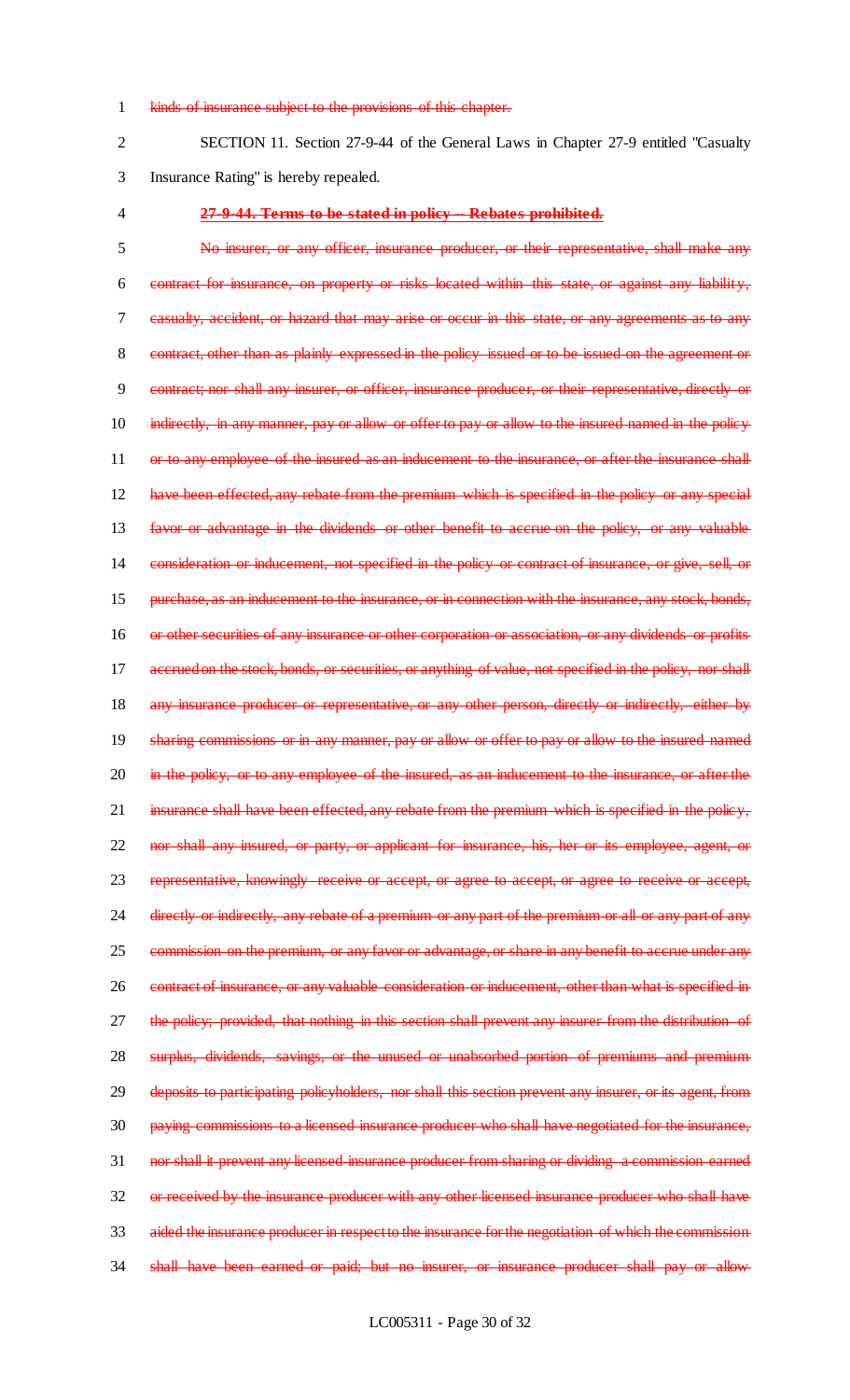#### 1 kinds of insurance subject to the provisions of this chapter.

2 SECTION 11. Section 27-9-44 of the General Laws in Chapter 27-9 entitled "Casualty 3 Insurance Rating" is hereby repealed.

### 4 **27-9-44. Terms to be stated in policy -- Rebates prohibited.**

5 No insurer, or any officer, insurance producer, or their representative, shall make any 6 contract for insurance, on property or risks located within this state, or against any liability, 7 casualty, accident, or hazard that may arise or occur in this state, or any agreements as to any 8 contract, other than as plainly expressed in the policy issued or to be issued on the agreement or 9 contract; nor shall any insurer, or officer, insurance producer, or their representative, directly or 10 indirectly, in any manner, pay or allow or offer to pay or allow to the insured named in the policy 11 or to any employee of the insured as an inducement to the insurance, or after the insurance shall 12 have been effected, any rebate from the premium which is specified in the policy or any special 13 favor or advantage in the dividends or other benefit to accrue on the policy, or any valuable 14 consideration or inducement, not specified in the policy or contract of insurance, or give, sell, or 15 purchase, as an inducement to the insurance, or in connection with the insurance, any stock, bonds, 16 or other securities of any insurance or other corporation or association, or any dividends or profits 17 accrued on the stock, bonds, or securities, or anything of value, not specified in the policy, nor shall 18 any insurance producer or representative, or any other person, directly or indirectly, either by 19 sharing commissions or in any manner, pay or allow or offer to pay or allow to the insured named 20 in the policy, or to any employee of the insured, as an inducement to the insurance, or after the 21 insurance shall have been effected, any rebate from the premium which is specified in the policy, 22 nor shall any insured, or party, or applicant for insurance, his, her or its employee, agent, or 23 representative, knowingly receive or accept, or agree to accept, or agree to receive or accept, 24 directly or indirectly, any rebate of a premium or any part of the premium or all or any part of any 25 commission on the premium, or any favor or advantage, or share in any benefit to accrue under any 26 contract of insurance, or any valuable consideration or inducement, other than what is specified in 27 the policy; provided, that nothing in this section shall prevent any insurer from the distribution of 28 surplus, dividends, savings, or the unused or unabsorbed portion of premiums and premium 29 deposits to participating policyholders, nor shall this section prevent any insurer, or its agent, from 30 paying commissions to a licensed insurance producer who shall have negotiated for the insurance, 31 nor shall it prevent any licensed insurance producer from sharing or dividing a commission earned 32 or received by the insurance producer with any other licensed insurance producer who shall have 33 aided the insurance producer in respect to the insurance for the negotiation of which the commission 34 shall have been earned or paid; but no insurer, or insurance producer shall pay or allow-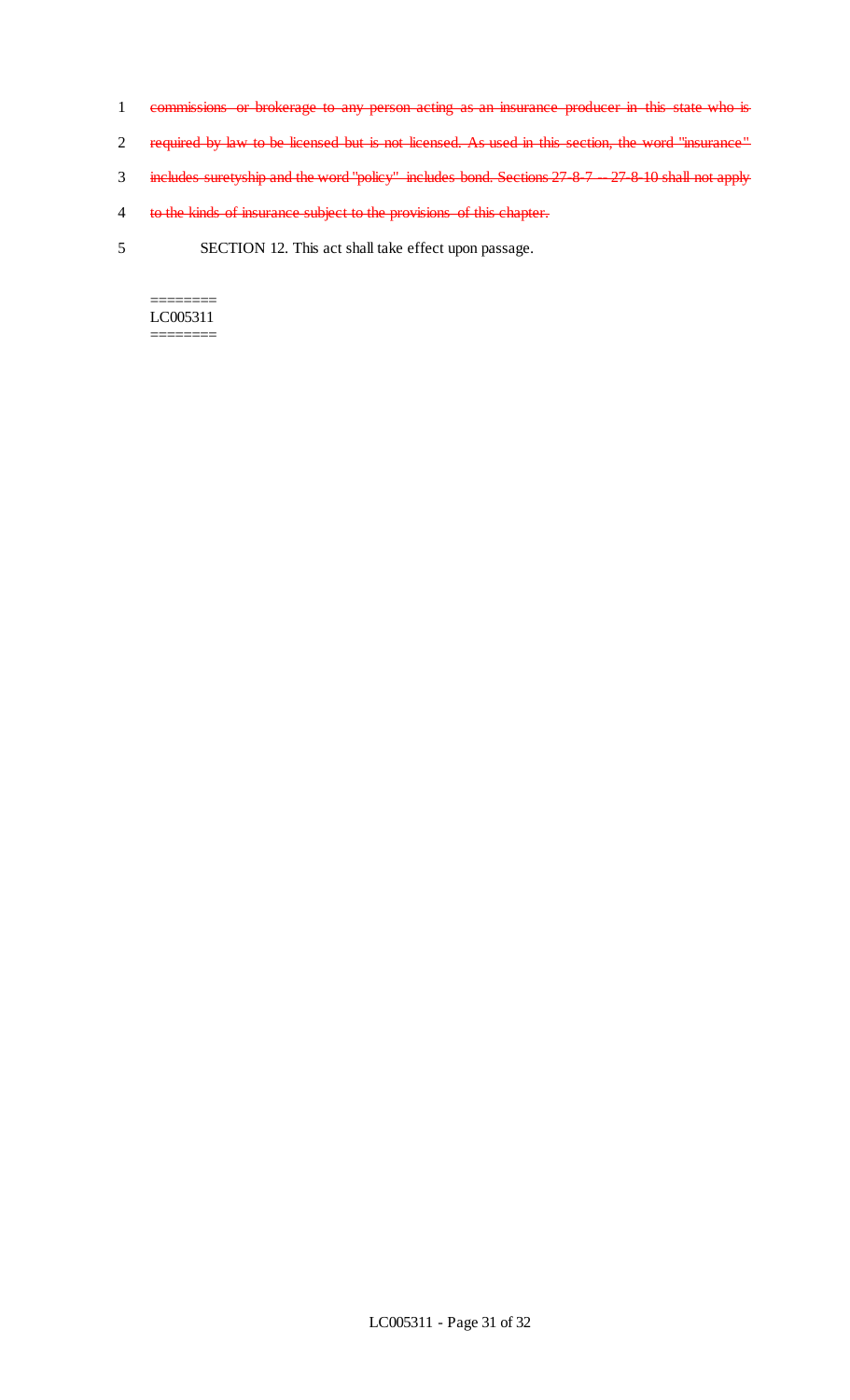- 1 commissions or brokerage to any person acting as an insurance producer in this state who is
- 2 required by law to be licensed but is not licensed. As used in this section, the word "insurance"
- 3 includes suretyship and the word "policy" includes bond. Sections 27-8-7 -- 27-8-10 shall not apply
- 4 to the kinds of insurance subject to the provisions of this chapter.
- 5 SECTION 12. This act shall take effect upon passage.

======== LC005311 ========